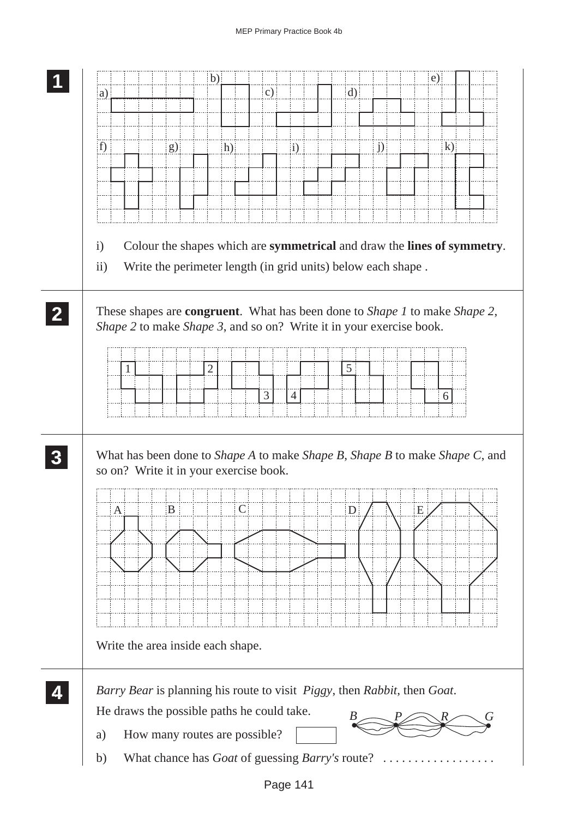| $\mathbf{c})$<br>$\rm d)$<br>(a)<br>f)<br>g)<br>j)<br>$\bf k)$<br>h)<br>$\mathbf{i}$<br>Colour the shapes which are symmetrical and draw the lines of symmetry.<br>$\mathbf{i}$<br>$\rm ii)$<br>Write the perimeter length (in grid units) below each shape.<br>These shapes are <b>congruent</b> . What has been done to <i>Shape 1</i> to make <i>Shape 2</i> ,<br>Shape 2 to make Shape 3, and so on? Write it in your exercise book.<br>5 <sup>5</sup><br>$\overline{2}$<br>$\mathfrak{Z}$<br>$\overline{4}$<br>6<br>What has been done to <i>Shape A</i> to make <i>Shape B</i> , <i>Shape B</i> to make <i>Shape C</i> , and<br>so on? Write it in your exercise book.<br>$\mathsf{C}$<br>$\boldsymbol{B}$<br>E<br>D<br>A<br>Write the area inside each shape. |  | $\mathbf{b}$ ) |  |  | $\epsilon$ ) |  |
|----------------------------------------------------------------------------------------------------------------------------------------------------------------------------------------------------------------------------------------------------------------------------------------------------------------------------------------------------------------------------------------------------------------------------------------------------------------------------------------------------------------------------------------------------------------------------------------------------------------------------------------------------------------------------------------------------------------------------------------------------------------------|--|----------------|--|--|--------------|--|
|                                                                                                                                                                                                                                                                                                                                                                                                                                                                                                                                                                                                                                                                                                                                                                      |  |                |  |  |              |  |
|                                                                                                                                                                                                                                                                                                                                                                                                                                                                                                                                                                                                                                                                                                                                                                      |  |                |  |  |              |  |
|                                                                                                                                                                                                                                                                                                                                                                                                                                                                                                                                                                                                                                                                                                                                                                      |  |                |  |  |              |  |
|                                                                                                                                                                                                                                                                                                                                                                                                                                                                                                                                                                                                                                                                                                                                                                      |  |                |  |  |              |  |
|                                                                                                                                                                                                                                                                                                                                                                                                                                                                                                                                                                                                                                                                                                                                                                      |  |                |  |  |              |  |
|                                                                                                                                                                                                                                                                                                                                                                                                                                                                                                                                                                                                                                                                                                                                                                      |  |                |  |  |              |  |
|                                                                                                                                                                                                                                                                                                                                                                                                                                                                                                                                                                                                                                                                                                                                                                      |  |                |  |  |              |  |
|                                                                                                                                                                                                                                                                                                                                                                                                                                                                                                                                                                                                                                                                                                                                                                      |  |                |  |  |              |  |
|                                                                                                                                                                                                                                                                                                                                                                                                                                                                                                                                                                                                                                                                                                                                                                      |  |                |  |  |              |  |
|                                                                                                                                                                                                                                                                                                                                                                                                                                                                                                                                                                                                                                                                                                                                                                      |  |                |  |  |              |  |
|                                                                                                                                                                                                                                                                                                                                                                                                                                                                                                                                                                                                                                                                                                                                                                      |  |                |  |  |              |  |
|                                                                                                                                                                                                                                                                                                                                                                                                                                                                                                                                                                                                                                                                                                                                                                      |  |                |  |  |              |  |
|                                                                                                                                                                                                                                                                                                                                                                                                                                                                                                                                                                                                                                                                                                                                                                      |  |                |  |  |              |  |
|                                                                                                                                                                                                                                                                                                                                                                                                                                                                                                                                                                                                                                                                                                                                                                      |  |                |  |  |              |  |
|                                                                                                                                                                                                                                                                                                                                                                                                                                                                                                                                                                                                                                                                                                                                                                      |  |                |  |  |              |  |
|                                                                                                                                                                                                                                                                                                                                                                                                                                                                                                                                                                                                                                                                                                                                                                      |  |                |  |  |              |  |
|                                                                                                                                                                                                                                                                                                                                                                                                                                                                                                                                                                                                                                                                                                                                                                      |  |                |  |  |              |  |
|                                                                                                                                                                                                                                                                                                                                                                                                                                                                                                                                                                                                                                                                                                                                                                      |  |                |  |  |              |  |
|                                                                                                                                                                                                                                                                                                                                                                                                                                                                                                                                                                                                                                                                                                                                                                      |  |                |  |  |              |  |
|                                                                                                                                                                                                                                                                                                                                                                                                                                                                                                                                                                                                                                                                                                                                                                      |  |                |  |  |              |  |
|                                                                                                                                                                                                                                                                                                                                                                                                                                                                                                                                                                                                                                                                                                                                                                      |  |                |  |  |              |  |
|                                                                                                                                                                                                                                                                                                                                                                                                                                                                                                                                                                                                                                                                                                                                                                      |  |                |  |  |              |  |
|                                                                                                                                                                                                                                                                                                                                                                                                                                                                                                                                                                                                                                                                                                                                                                      |  |                |  |  |              |  |
| Barry Bear is planning his route to visit Piggy, then Rabbit, then Goat.                                                                                                                                                                                                                                                                                                                                                                                                                                                                                                                                                                                                                                                                                             |  |                |  |  |              |  |
| He draws the possible paths he could take.                                                                                                                                                                                                                                                                                                                                                                                                                                                                                                                                                                                                                                                                                                                           |  |                |  |  |              |  |
| How many routes are possible?<br>a)                                                                                                                                                                                                                                                                                                                                                                                                                                                                                                                                                                                                                                                                                                                                  |  |                |  |  |              |  |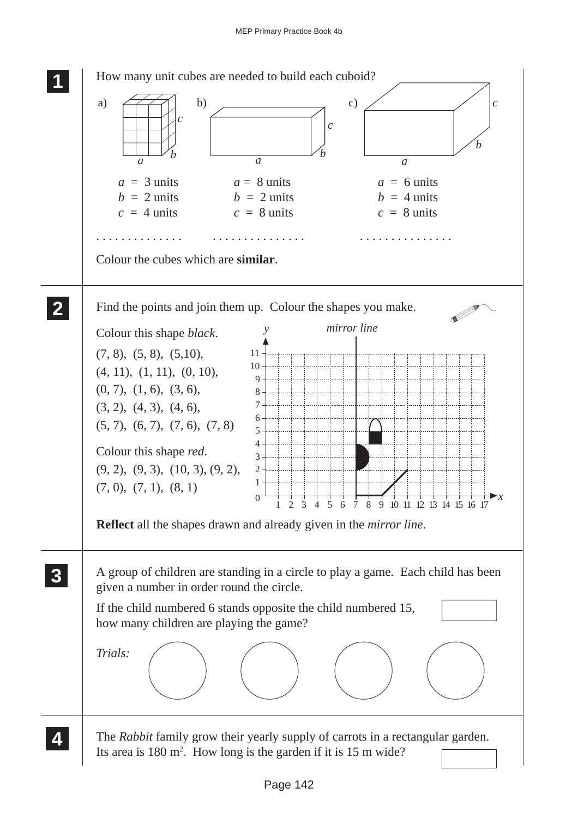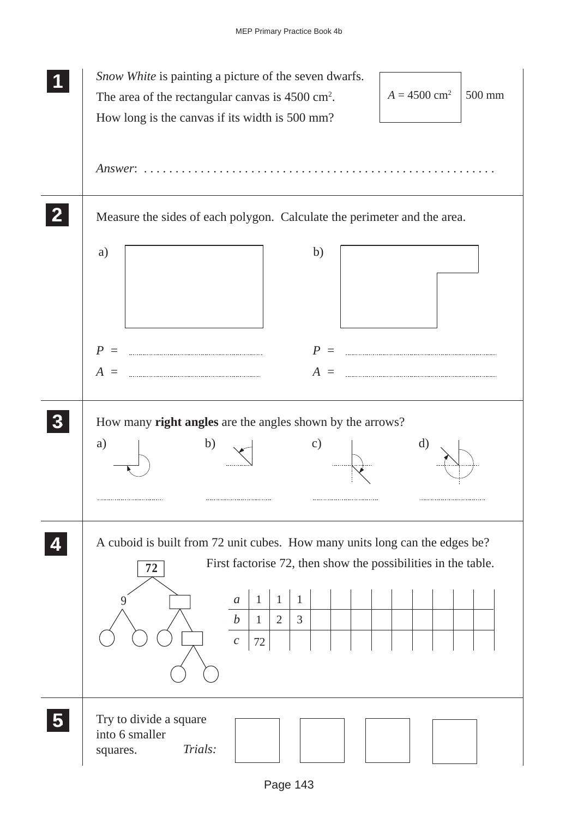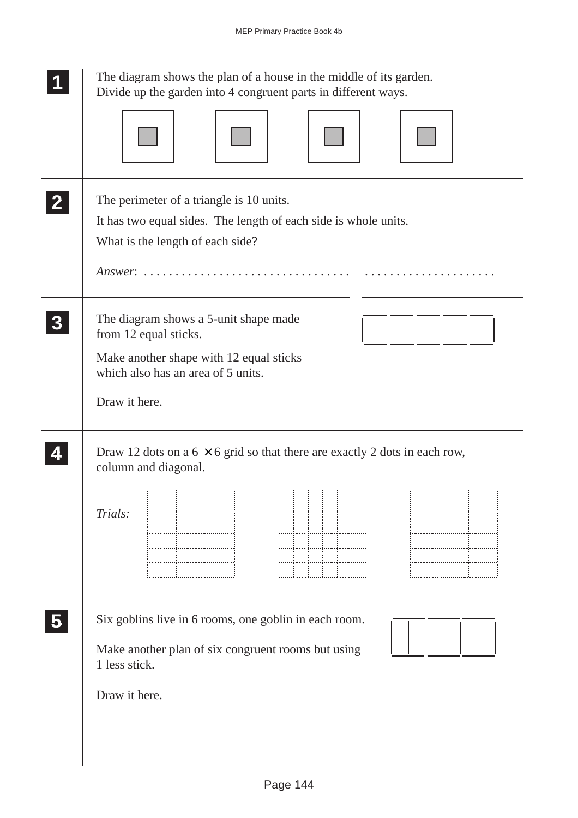| The diagram shows the plan of a house in the middle of its garden.<br>Divide up the garden into 4 congruent parts in different ways.                                                                                        |
|-----------------------------------------------------------------------------------------------------------------------------------------------------------------------------------------------------------------------------|
|                                                                                                                                                                                                                             |
| The perimeter of a triangle is 10 units.<br>It has two equal sides. The length of each side is whole units.<br>What is the length of each side?<br>$Answer: \ldots \ldots \ldots \ldots \ldots \ldots \ldots \ldots \ldots$ |
| The diagram shows a 5-unit shape made<br>from 12 equal sticks.<br>Make another shape with 12 equal sticks<br>which also has an area of 5 units.                                                                             |
| Draw it here.                                                                                                                                                                                                               |
| Draw 12 dots on a $6 \times 6$ grid so that there are exactly 2 dots in each row,<br>column and diagonal.                                                                                                                   |
| Trials:                                                                                                                                                                                                                     |
| Six goblins live in 6 rooms, one goblin in each room.<br>Make another plan of six congruent rooms but using<br>1 less stick.                                                                                                |
| Draw it here.                                                                                                                                                                                                               |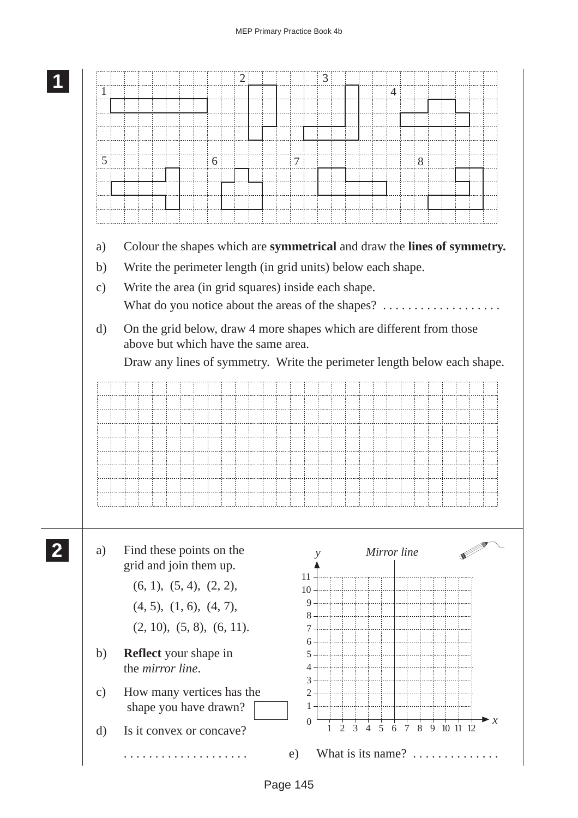| 1             |                                                                          |                                                                      |   | 2 |  |                | 3      |  | $\overline{4}$ |   |  |  |
|---------------|--------------------------------------------------------------------------|----------------------------------------------------------------------|---|---|--|----------------|--------|--|----------------|---|--|--|
|               |                                                                          |                                                                      |   |   |  |                |        |  |                |   |  |  |
|               |                                                                          |                                                                      |   |   |  |                |        |  |                |   |  |  |
|               |                                                                          |                                                                      |   |   |  |                |        |  |                |   |  |  |
| 5             |                                                                          |                                                                      | 6 |   |  | $\overline{7}$ |        |  |                | 8 |  |  |
|               |                                                                          |                                                                      |   |   |  |                |        |  |                |   |  |  |
|               |                                                                          |                                                                      |   |   |  |                |        |  |                |   |  |  |
|               |                                                                          |                                                                      |   |   |  |                |        |  |                |   |  |  |
|               |                                                                          |                                                                      |   |   |  |                |        |  |                |   |  |  |
| a)            | Colour the shapes which are symmetrical and draw the lines of symmetry.  |                                                                      |   |   |  |                |        |  |                |   |  |  |
| b)            |                                                                          | Write the perimeter length (in grid units) below each shape.         |   |   |  |                |        |  |                |   |  |  |
| $\mathbf{c})$ |                                                                          | Write the area (in grid squares) inside each shape.                  |   |   |  |                |        |  |                |   |  |  |
|               |                                                                          | What do you notice about the areas of the shapes?                    |   |   |  |                |        |  |                |   |  |  |
| $\rm d)$      |                                                                          | On the grid below, draw 4 more shapes which are different from those |   |   |  |                |        |  |                |   |  |  |
|               |                                                                          | above but which have the same area.                                  |   |   |  |                |        |  |                |   |  |  |
|               | Draw any lines of symmetry. Write the perimeter length below each shape. |                                                                      |   |   |  |                |        |  |                |   |  |  |
|               |                                                                          |                                                                      |   |   |  |                |        |  |                |   |  |  |
|               |                                                                          |                                                                      |   |   |  |                |        |  |                |   |  |  |
|               |                                                                          |                                                                      |   |   |  |                |        |  |                |   |  |  |
|               |                                                                          |                                                                      |   |   |  |                |        |  |                |   |  |  |
|               |                                                                          |                                                                      |   |   |  |                |        |  |                |   |  |  |
|               |                                                                          |                                                                      |   |   |  |                |        |  |                |   |  |  |
|               |                                                                          |                                                                      |   |   |  |                |        |  |                |   |  |  |
|               |                                                                          |                                                                      |   |   |  |                |        |  |                |   |  |  |
|               |                                                                          |                                                                      |   |   |  |                |        |  |                |   |  |  |
|               |                                                                          |                                                                      |   |   |  |                |        |  |                |   |  |  |
|               |                                                                          |                                                                      |   |   |  |                |        |  |                |   |  |  |
|               | Find these points on the                                                 | grid and join them up.                                               |   |   |  |                |        |  | Mirror line    |   |  |  |
|               |                                                                          |                                                                      |   |   |  | 11             |        |  |                |   |  |  |
|               |                                                                          | (6, 1), (5, 4), (2, 2),                                              |   |   |  | 10             | 9      |  |                |   |  |  |
|               |                                                                          | (4, 5), (1, 6), (4, 7),                                              |   |   |  |                | 8      |  |                |   |  |  |
|               |                                                                          | (2, 10), (5, 8), (6, 11).                                            |   |   |  |                | 7<br>6 |  |                |   |  |  |
|               | <b>Reflect</b> your shape in                                             |                                                                      |   |   |  |                | 5      |  |                |   |  |  |
| a)<br>b)      |                                                                          | the <i>mirror</i> line.                                              |   |   |  |                | 4      |  |                |   |  |  |
| $\mathbf{c})$ |                                                                          |                                                                      |   |   |  |                | 3<br>2 |  |                |   |  |  |
|               | How many vertices has the                                                | shape you have drawn?                                                |   |   |  |                | 1      |  |                |   |  |  |

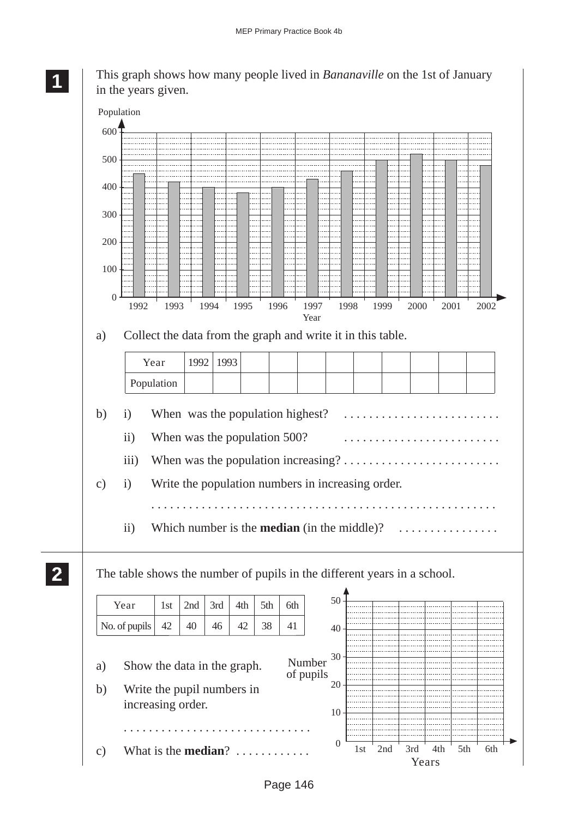

**2 22 22** **<sup>11</sup>** This graph shows how many people lived in *Bananaville* on the 1st of January in the years given.

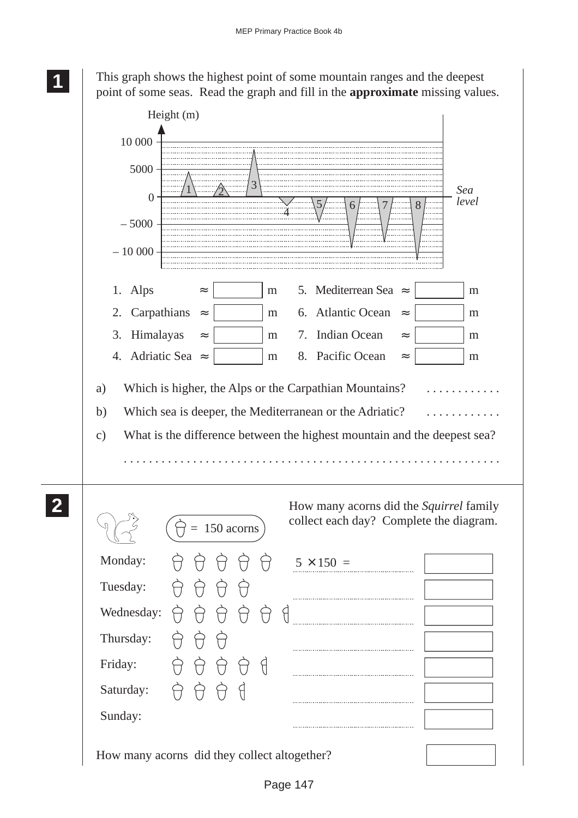**1 11 11** This graph shows the highest point of some mountain ranges and the deepest point of some seas. Read the graph and fill in the **approximate** missing values.

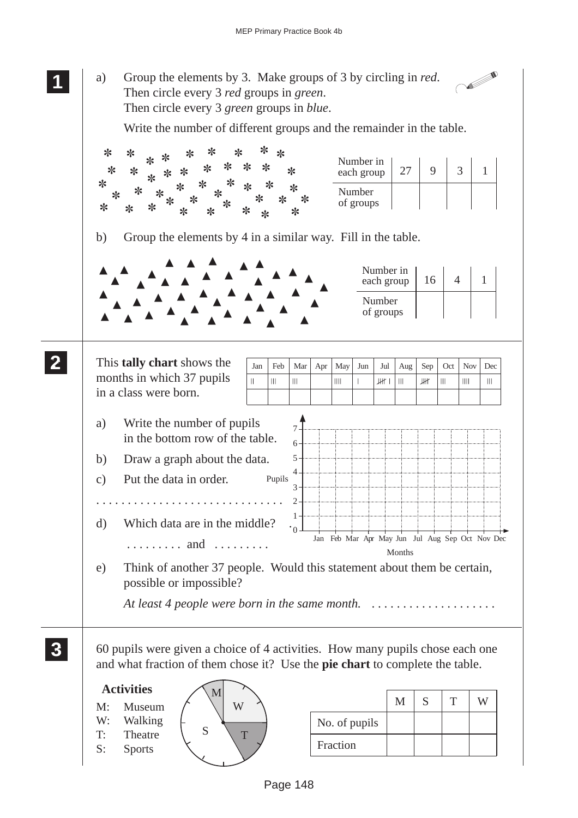**1 11** a) Group the elements by 3. Make groups of 3 by circling in *red*. V **11** Then circle every 3 *red* groups in *green*. Then circle every 3 *green* groups in *blue*. Write the number of different groups and the remainder in the table. ✼ ✼ ✼ ✼ ✼ ✼ ✼ ✼ ✼ Number in ✼ ✼ ✼ ✼ ✼ each group  $\begin{array}{|c|c|c|c|c|c|} \hline 27 & 9 & 3 & 1 \ \hline \end{array}$ ✼ ✼ ✼ ✼ ✼ ✼ ✼ ✼ ✼ ✼ ✼ ✼ ✼ ✼ ✼ Number ✼ ✼ ✼ ✼ ✼ ✼ of groups ✼ ✼ ✼ ✼ ✼ ✼ ✼ ✼ ✼ b) Group the elements by 4 in a similar way. Fill in the table. ▲ ▲ ▲ ▲ ▲ ▲ ▲ Number in ▲  $\triangle^*$   $\triangle^*$ ▲ ▲ ▲ ▲ each group  $\begin{array}{|c|c|c|c|c|c|} \hline 16 & 4 & 1 \\\hline \end{array}$ ▲ ▲ ▲ ▲ ▲ ▲ ▲ ▲  $\triangle$   $\triangle$ ▲ ▲ ▲ ▲ ▲ Number ▲ ▲ ▲ ▲ ▲ ▲ ▲ of groups ▲ ▲ ▲ ▲ ▲ ▲ ▲ ▲ **2 22 2** This **tally chart** shows the  $\sqrt{\int_{\text{Jan}} |\text{Feb}| \text{Mar}| \text{Apr}| \text{May}| \text{Jun}| \text{Jul}| \text{Aug} | \text{Sep}| \text{Oct}| \text{Nov}| \text{Dec}}$ months in which 37 pupils  $\mathbf{H}$  $\overline{\mathbf{H}}$  $\overline{\mathbf{H}}$  $\frac{1}{2}$  $\overline{\phantom{a}}$ JH I  $\mathbf{III}$ JЖ  $\| \cdot \|$  $\| \cdot \|$  $\mathop{\rm III}$ in a class were born. a) Write the number of pupils 7 in the bottom row of the table. 6 b) Draw a graph about the data. 5 4 c) Put the data in order. Pupils 3 . . . . . . . . . . . . . . . . . . . . . . . . . . . . . .  $\mathcal{D}$ 1 d) Which data are in the middle?  $\cdot$ <sup>0</sup> Jan Feb Mar Apr May Jun Jul Aug Sep Oct Nov Dec . . . . . . . . . and . . . . . . . . . Months e) Think of another 37 people. Would this statement about them be certain, possible or impossible? *At least 4 people were born in the same month.* . . . . . . . . . . . . . . . . . . . . **3 33** 60 pupils were given a choice of 4 activities. How many pupils chose each one **33 33** and what fraction of them chose it? Use the **pie chart** to complete the table.  **Activities** M  $W \left\{ \begin{array}{c|c} \searrow & M & S & T & W \end{array} \right.$ M: Museum W: Walking No. of pupils  $S \setminus T$ T: Theatre Fraction S: Sports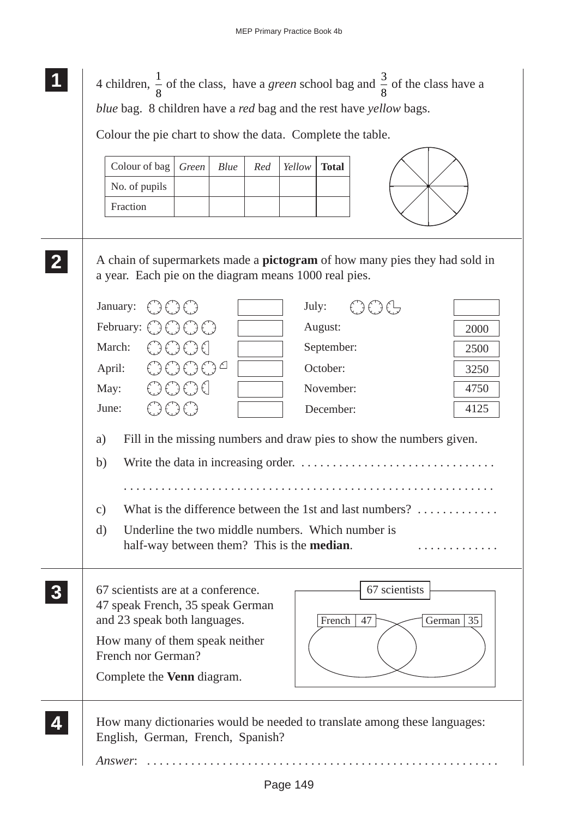| Colour of bag                                          | Green<br>Blue                                      | Red | Yellow | <b>Total</b> |                                                                                   |               |
|--------------------------------------------------------|----------------------------------------------------|-----|--------|--------------|-----------------------------------------------------------------------------------|---------------|
| No. of pupils                                          |                                                    |     |        |              |                                                                                   |               |
| Fraction                                               |                                                    |     |        |              |                                                                                   |               |
|                                                        |                                                    |     |        |              |                                                                                   |               |
|                                                        |                                                    |     |        |              | A chain of supermarkets made a <b>pictogram</b> of how many pies they had sold in |               |
| a year. Each pie on the diagram means 1000 real pies.  |                                                    |     |        |              |                                                                                   |               |
| January:                                               |                                                    |     | July:  |              | €Э€Э€Ь                                                                            |               |
| February: $\binom{n}{2}$ $\binom{n}{2}$ $\binom{n}{2}$ |                                                    |     |        | August:      |                                                                                   | 2000          |
| March:                                                 | $\xi$ ) $\xi$ ) $\xi$ ) $\xi$                      |     |        | September:   |                                                                                   | 2500          |
| April:                                                 | 3()()()                                            |     |        | October:     |                                                                                   | 3250          |
| May:                                                   | €€€€                                               |     |        | November:    |                                                                                   | 4750          |
| June:                                                  | OOO                                                |     |        | December:    |                                                                                   | 4125          |
| a)                                                     |                                                    |     |        |              | Fill in the missing numbers and draw pies to show the numbers given.              |               |
| b)                                                     |                                                    |     |        |              |                                                                                   |               |
|                                                        |                                                    |     |        |              |                                                                                   |               |
| $\mathbf{c})$                                          |                                                    |     |        |              | What is the difference between the 1st and last numbers? $\dots\dots\dots\dots$   |               |
| $\rm d)$                                               | Underline the two middle numbers. Which number is  |     |        |              |                                                                                   |               |
|                                                        | half-way between them? This is the <b>median</b> . |     |        |              |                                                                                   |               |
| 67 scientists are at a conference.                     |                                                    |     |        |              | 67 scientists                                                                     |               |
| 47 speak French, 35 speak German                       |                                                    |     |        |              |                                                                                   |               |
| and 23 speak both languages.                           |                                                    |     |        | French       | 47                                                                                | German $ 35 $ |
| How many of them speak neither                         |                                                    |     |        |              |                                                                                   |               |
| French nor German?                                     |                                                    |     |        |              |                                                                                   |               |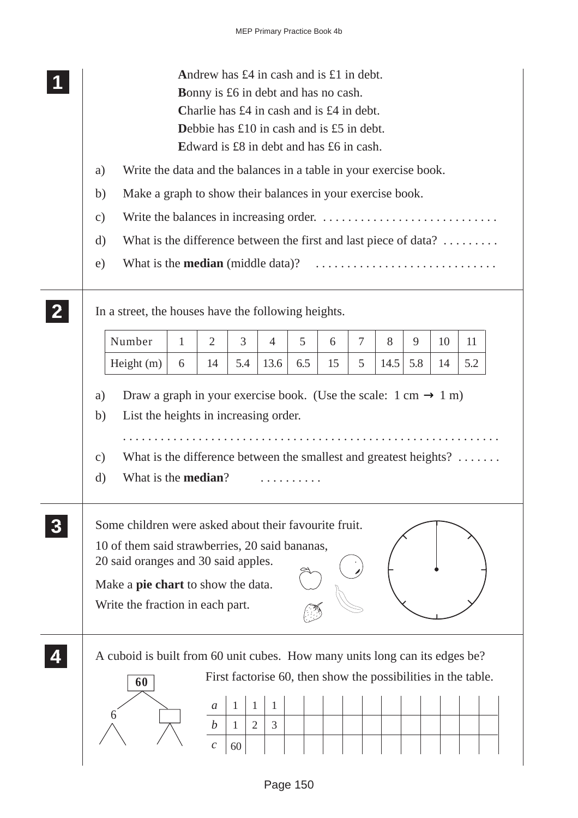| Andrew has $\pounds 4$ in cash and is $\pounds 1$ in debt.<br><b>Bonny</b> is £6 in debt and has no cash.<br>Charlie has £4 in cash and is £4 in debt.<br>Debbie has $£10$ in cash and is £5 in debt.<br>Edward is £8 in debt and has £6 in cash.           |
|-------------------------------------------------------------------------------------------------------------------------------------------------------------------------------------------------------------------------------------------------------------|
| Write the data and the balances in a table in your exercise book.<br>a)                                                                                                                                                                                     |
| Make a graph to show their balances in your exercise book.<br>b)                                                                                                                                                                                            |
| $\mathbf{c})$                                                                                                                                                                                                                                               |
| What is the difference between the first and last piece of data? $\dots\dots\dots$<br>d)                                                                                                                                                                    |
| What is the <b>median</b> (middle data)?<br>e)                                                                                                                                                                                                              |
| In a street, the houses have the following heights.                                                                                                                                                                                                         |
| Number<br>3<br>$\tau$<br>$\overline{2}$<br>5<br>8<br>9<br>$\mathbf{1}$<br>$\overline{4}$<br>10<br>11<br>6                                                                                                                                                   |
| 5.8<br>5.4<br>6.5<br>5<br>14.5<br>5.2<br>Height $(m)$<br>13.6<br>15<br>6<br>14<br>14                                                                                                                                                                        |
| List the heights in increasing order.<br>b)<br>What is the difference between the smallest and greatest heights? $\dots\dots$<br>$\mathcal{C}$ )<br>What is the <b>median</b> ?<br>$\rm d)$                                                                 |
| Some children were asked about their favourite fruit.<br>10 of them said strawberries, 20 said bananas,<br>20 said oranges and 30 said apples.<br>Make a <b>pie chart</b> to show the data.<br>Write the fraction in each part.                             |
| A cuboid is built from 60 unit cubes. How many units long can its edges be?<br>First factorise 60, then show the possibilities in the table.<br>60<br>1<br>1<br>a<br>$\overline{2}$<br>3<br>$\boldsymbol{b}$<br>$\mathbf{1}$<br>$\mathcal{C}_{0}^{0}$<br>60 |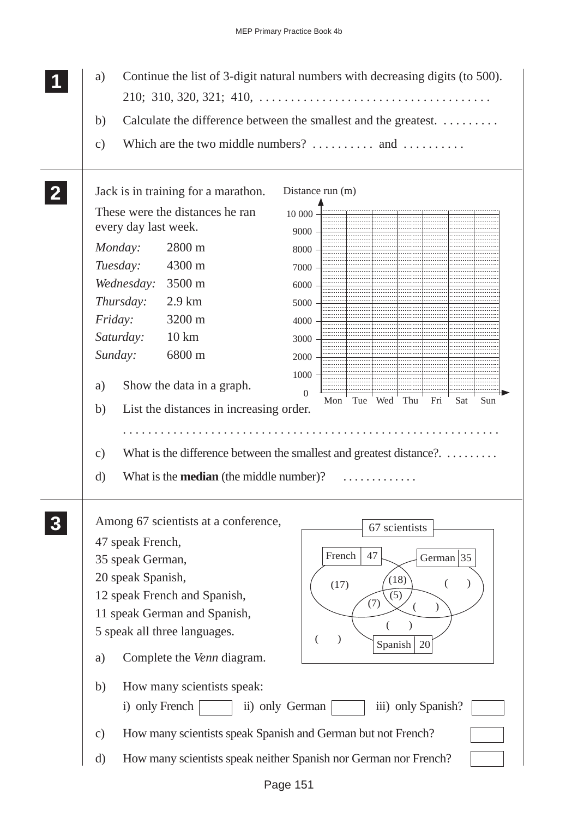| Continue the list of 3-digit natural numbers with decreasing digits (to 500).<br>a)                                                                                                                                                                                                                                                                                                                                                                                                                                                                                                                                                                                                                         |
|-------------------------------------------------------------------------------------------------------------------------------------------------------------------------------------------------------------------------------------------------------------------------------------------------------------------------------------------------------------------------------------------------------------------------------------------------------------------------------------------------------------------------------------------------------------------------------------------------------------------------------------------------------------------------------------------------------------|
| $210; 310, 320, 321; 410, \ldots, \ldots, \ldots, \ldots, \ldots, \ldots, \ldots$<br>Calculate the difference between the smallest and the greatest.<br>b)<br>Which are the two middle numbers? $\dots \dots$ and $\dots \dots$<br>$\mathbf{c})$                                                                                                                                                                                                                                                                                                                                                                                                                                                            |
| Jack is in training for a marathon.<br>Distance run (m)<br>These were the distances he ran<br>$10000 -$<br>every day last week.<br>9000<br>2800 m<br>Monday:<br>8000<br>Tuesday:<br>4300 m<br>7000<br>Wednesday:<br>3500 m<br>6000<br>Thursday:<br>$2.9 \text{ km}$<br>5000<br><i>Friday:</i><br>3200 m<br>4000<br>Saturday:<br>$10 \mathrm{km}$<br>3000<br>6800 m<br>Sunday:<br>2000<br>1000<br>Show the data in a graph.<br>a)<br>$\Omega$<br><b>Wed</b><br>Sat<br>Sun<br>Mon<br>Tue<br>Thu<br>Fri<br>List the distances in increasing order.<br>b)<br>What is the difference between the smallest and greatest distance?.<br>$\mathbf{c})$<br>What is the <b>median</b> (the middle number)?<br>$\rm d)$ |
| Among 67 scientists at a conference,<br>67 scientists<br>47 speak French,<br>French<br>47<br>German $ 35 $<br>35 speak German,<br>20 speak Spanish,<br>(18)<br>(17)<br>12 speak French and Spanish,<br>(5)<br>(7)<br>11 speak German and Spanish,<br>5 speak all three languages.<br>Spanish<br>20<br>Complete the <i>Venn</i> diagram.<br>a)<br>How many scientists speak:<br>b)<br>i) only French<br>ii) only German<br>iii) only Spanish?<br>How many scientists speak Spanish and German but not French?<br>$\mathbf{c})$<br>How many scientists speak neither Spanish nor German nor French?<br>d)                                                                                                     |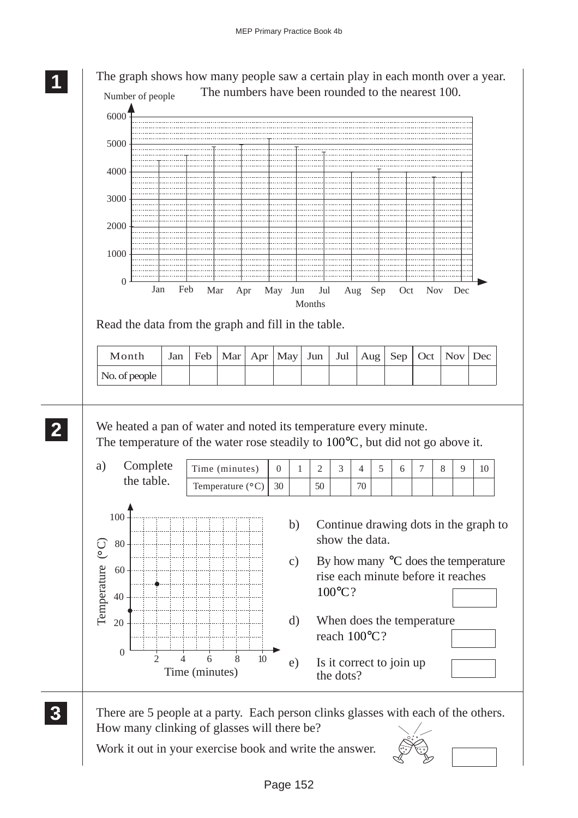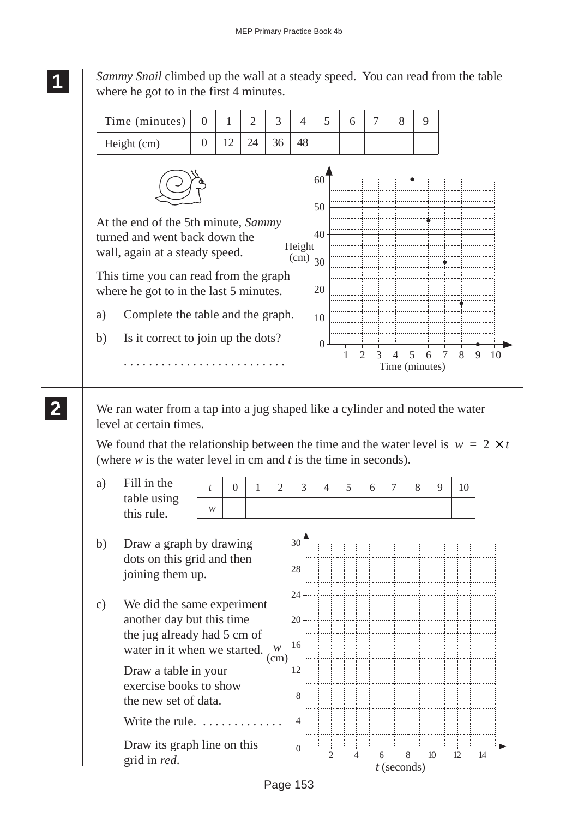Time (minutes) Height (cm) 0 1 2 3 4 5 6 7 8 9  $0 \mid 12 \mid 24 \mid 36 \mid 48$ *Sammy Snail* climbed up the wall at a steady speed. You can read from the table where he got to in the first 4 minutes. At the end of the 5th minute, *Sammy* turned and went back down the wall, again at a steady speed. This time you can read from the graph where he got to in the last 5 minutes. a) Complete the table and the graph. b) Is it correct to join up the dots? . . . . . . . . . . . . . . . . . . . . . . . . . . 10  $\Omega$ Height (cm) 1 Time (minutes) 20 30 40 50 60 2 3 4 5 6 7 8 9 10

We ran water from a tap into a jug shaped like a cylinder and noted the water level at certain times.

We found that the relationship between the time and the water level is  $w = 2 \times t$ (where *w* is the water level in cm and *t* is the time in seconds).

a) Fill in the table using this rule.

*t*

*w*

0 1 2 3 4 5 6 7 8 9 10



#### **1 11 11**

**2 22 22**

Page 153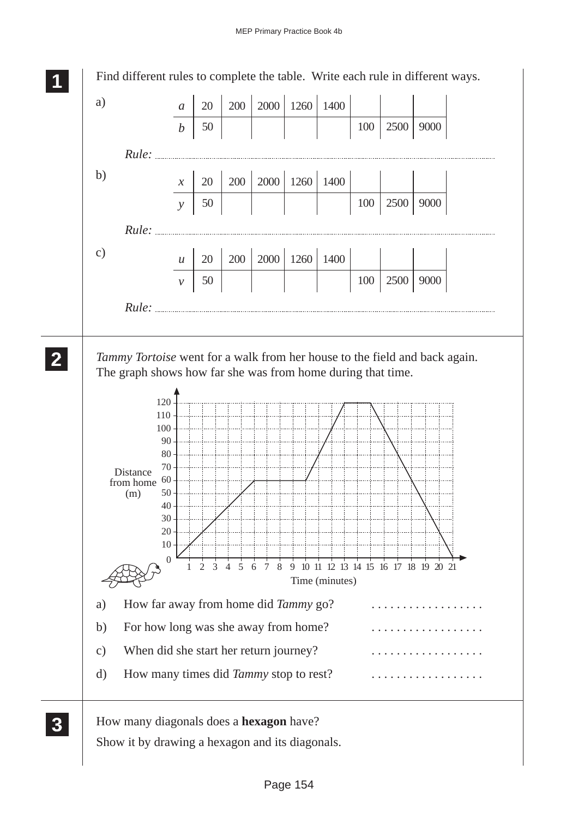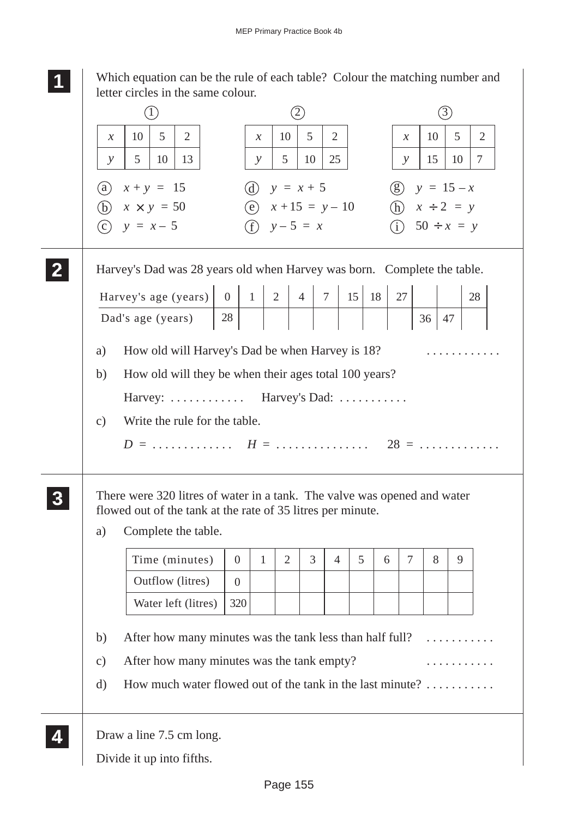Which equation can be the rule of each table? Colour the matching number and

| 5<br>10<br>$\mathfrak{S}$<br>$\overline{2}$<br>$\overline{2}$<br>10<br>10<br>$\mathcal{X}$<br>$\mathcal{X}$<br>$\mathcal{X}$<br>10<br>13<br>5<br>10<br>25<br>15<br>5<br>$\mathcal{Y}$<br>$\mathcal{Y}$<br>$\mathcal{Y}$<br>(d) $y = x + 5$<br>(g) $y = 15 - x$<br>(a)<br>$x + y = 15$<br>(h) $x \div 2 = y$<br>(e) $x + 15 = y - 10$<br>(b)<br>$x \times y = 50$<br>(f) $y-5 = x$<br>(i) $50 \div x = y$<br>$y = x - 5$<br>(c)<br>Harvey's Dad was 28 years old when Harvey was born. Complete the table.<br>15 18 <br>27<br>28<br>Dad's age (years)<br>36<br>47<br>How old will Harvey's Dad be when Harvey is 18?<br>a)<br>How old will they be when their ages total 100 years?<br>b)<br>Harvey:  Harvey's Dad:<br>Write the rule for the table.<br>$\mathbf{c})$<br>There were 320 litres of water in a tank. The valve was opened and water<br>flowed out of the tank at the rate of 35 litres per minute.<br>Complete the table.<br>a)<br>3<br>5<br>7<br>Time (minutes)<br>$\overline{2}$<br>8<br>$\overline{0}$<br>1<br>$\overline{4}$<br>6<br>Outflow (litres)<br>$\overline{0}$<br>320<br>Water left (litres)<br>After how many minutes was the tank less than half full?<br>b)<br>After how many minutes was the tank empty? |               | (1) |  | $\circled{2}$ |  |  |  | 3) |    |
|----------------------------------------------------------------------------------------------------------------------------------------------------------------------------------------------------------------------------------------------------------------------------------------------------------------------------------------------------------------------------------------------------------------------------------------------------------------------------------------------------------------------------------------------------------------------------------------------------------------------------------------------------------------------------------------------------------------------------------------------------------------------------------------------------------------------------------------------------------------------------------------------------------------------------------------------------------------------------------------------------------------------------------------------------------------------------------------------------------------------------------------------------------------------------------------------------------------------------------------|---------------|-----|--|---------------|--|--|--|----|----|
|                                                                                                                                                                                                                                                                                                                                                                                                                                                                                                                                                                                                                                                                                                                                                                                                                                                                                                                                                                                                                                                                                                                                                                                                                                        |               |     |  |               |  |  |  |    | 5  |
|                                                                                                                                                                                                                                                                                                                                                                                                                                                                                                                                                                                                                                                                                                                                                                                                                                                                                                                                                                                                                                                                                                                                                                                                                                        |               |     |  |               |  |  |  |    | 10 |
|                                                                                                                                                                                                                                                                                                                                                                                                                                                                                                                                                                                                                                                                                                                                                                                                                                                                                                                                                                                                                                                                                                                                                                                                                                        |               |     |  |               |  |  |  |    |    |
|                                                                                                                                                                                                                                                                                                                                                                                                                                                                                                                                                                                                                                                                                                                                                                                                                                                                                                                                                                                                                                                                                                                                                                                                                                        |               |     |  |               |  |  |  |    |    |
|                                                                                                                                                                                                                                                                                                                                                                                                                                                                                                                                                                                                                                                                                                                                                                                                                                                                                                                                                                                                                                                                                                                                                                                                                                        |               |     |  |               |  |  |  |    |    |
|                                                                                                                                                                                                                                                                                                                                                                                                                                                                                                                                                                                                                                                                                                                                                                                                                                                                                                                                                                                                                                                                                                                                                                                                                                        |               |     |  |               |  |  |  |    |    |
|                                                                                                                                                                                                                                                                                                                                                                                                                                                                                                                                                                                                                                                                                                                                                                                                                                                                                                                                                                                                                                                                                                                                                                                                                                        |               |     |  |               |  |  |  |    | 28 |
|                                                                                                                                                                                                                                                                                                                                                                                                                                                                                                                                                                                                                                                                                                                                                                                                                                                                                                                                                                                                                                                                                                                                                                                                                                        |               |     |  |               |  |  |  |    |    |
|                                                                                                                                                                                                                                                                                                                                                                                                                                                                                                                                                                                                                                                                                                                                                                                                                                                                                                                                                                                                                                                                                                                                                                                                                                        |               |     |  |               |  |  |  |    |    |
|                                                                                                                                                                                                                                                                                                                                                                                                                                                                                                                                                                                                                                                                                                                                                                                                                                                                                                                                                                                                                                                                                                                                                                                                                                        |               |     |  |               |  |  |  |    |    |
|                                                                                                                                                                                                                                                                                                                                                                                                                                                                                                                                                                                                                                                                                                                                                                                                                                                                                                                                                                                                                                                                                                                                                                                                                                        |               |     |  |               |  |  |  |    |    |
|                                                                                                                                                                                                                                                                                                                                                                                                                                                                                                                                                                                                                                                                                                                                                                                                                                                                                                                                                                                                                                                                                                                                                                                                                                        |               |     |  |               |  |  |  |    |    |
|                                                                                                                                                                                                                                                                                                                                                                                                                                                                                                                                                                                                                                                                                                                                                                                                                                                                                                                                                                                                                                                                                                                                                                                                                                        |               |     |  |               |  |  |  |    |    |
|                                                                                                                                                                                                                                                                                                                                                                                                                                                                                                                                                                                                                                                                                                                                                                                                                                                                                                                                                                                                                                                                                                                                                                                                                                        |               |     |  |               |  |  |  |    |    |
|                                                                                                                                                                                                                                                                                                                                                                                                                                                                                                                                                                                                                                                                                                                                                                                                                                                                                                                                                                                                                                                                                                                                                                                                                                        |               |     |  |               |  |  |  |    |    |
|                                                                                                                                                                                                                                                                                                                                                                                                                                                                                                                                                                                                                                                                                                                                                                                                                                                                                                                                                                                                                                                                                                                                                                                                                                        |               |     |  |               |  |  |  |    |    |
|                                                                                                                                                                                                                                                                                                                                                                                                                                                                                                                                                                                                                                                                                                                                                                                                                                                                                                                                                                                                                                                                                                                                                                                                                                        |               |     |  |               |  |  |  |    | 9  |
|                                                                                                                                                                                                                                                                                                                                                                                                                                                                                                                                                                                                                                                                                                                                                                                                                                                                                                                                                                                                                                                                                                                                                                                                                                        |               |     |  |               |  |  |  |    |    |
|                                                                                                                                                                                                                                                                                                                                                                                                                                                                                                                                                                                                                                                                                                                                                                                                                                                                                                                                                                                                                                                                                                                                                                                                                                        |               |     |  |               |  |  |  |    |    |
|                                                                                                                                                                                                                                                                                                                                                                                                                                                                                                                                                                                                                                                                                                                                                                                                                                                                                                                                                                                                                                                                                                                                                                                                                                        |               |     |  |               |  |  |  |    |    |
| How much water flowed out of the tank in the last minute?<br>$\mathbf{d}$                                                                                                                                                                                                                                                                                                                                                                                                                                                                                                                                                                                                                                                                                                                                                                                                                                                                                                                                                                                                                                                                                                                                                              | $\mathbf{c})$ |     |  |               |  |  |  |    |    |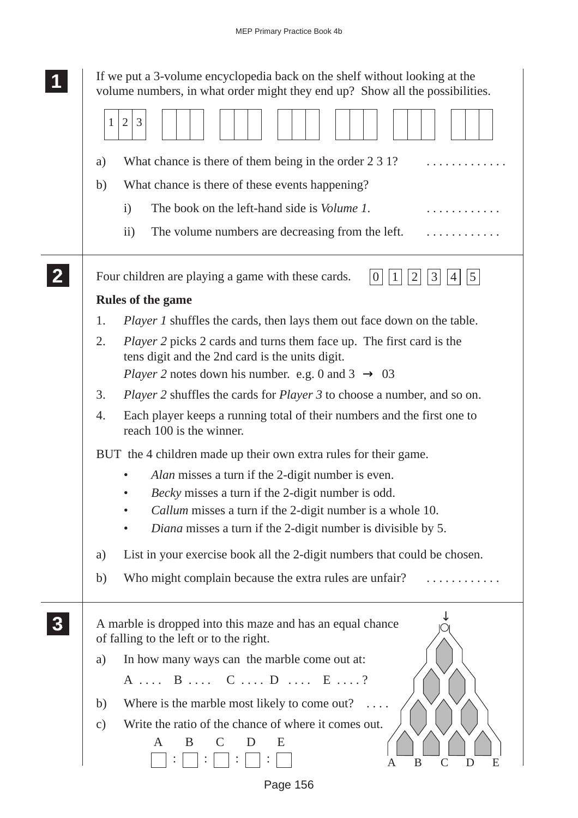| 1                       |               | If we put a 3-volume encyclopedia back on the shelf without looking at the<br>volume numbers, in what order might they end up? Show all the possibilities. |
|-------------------------|---------------|------------------------------------------------------------------------------------------------------------------------------------------------------------|
|                         | $\mathbf{1}$  | 3<br>$\overline{2}$                                                                                                                                        |
|                         | a)            | What chance is there of them being in the order 2 3 1?                                                                                                     |
|                         | b)            | What chance is there of these events happening?                                                                                                            |
|                         |               | The book on the left-hand side is <i>Volume 1</i> .<br>$\mathbf{i}$                                                                                        |
|                         |               | The volume numbers are decreasing from the left.<br>$\rm ii)$                                                                                              |
| $\overline{\mathbf{2}}$ |               | Four children are playing a game with these cards.<br>$5\overline{)}$<br>3<br>$\overline{0}$<br>2<br>1                                                     |
|                         |               | <b>Rules of the game</b>                                                                                                                                   |
|                         | 1.            | <i>Player 1</i> shuffles the cards, then lays them out face down on the table.                                                                             |
|                         | 2.            | <i>Player</i> 2 picks 2 cards and turns them face up. The first card is the<br>tens digit and the 2nd card is the units digit.                             |
|                         |               | <i>Player</i> 2 notes down his number. e.g. 0 and $3 \rightarrow 03$                                                                                       |
|                         | 3.            | <i>Player 2</i> shuffles the cards for <i>Player 3</i> to choose a number, and so on.                                                                      |
|                         | 4.            | Each player keeps a running total of their numbers and the first one to<br>reach 100 is the winner.                                                        |
|                         |               | BUT the 4 children made up their own extra rules for their game.                                                                                           |
|                         |               | Alan misses a turn if the 2-digit number is even.                                                                                                          |
|                         |               | Becky misses a turn if the 2-digit number is odd.                                                                                                          |
|                         |               | Callum misses a turn if the 2-digit number is a whole 10.                                                                                                  |
|                         |               | Diana misses a turn if the 2-digit number is divisible by 5.                                                                                               |
|                         | a)            | List in your exercise book all the 2-digit numbers that could be chosen.                                                                                   |
|                         | b)            | Who might complain because the extra rules are unfair?                                                                                                     |
| 3                       |               | A marble is dropped into this maze and has an equal chance<br>of falling to the left or to the right.                                                      |
|                         | a)            | In how many ways can the marble come out at:                                                                                                               |
|                         |               | A  B  C  D  E ?                                                                                                                                            |
|                         | b)            | Where is the marble most likely to come out?                                                                                                               |
|                         | $\mathbf{c})$ | Write the ratio of the chance of where it comes out.                                                                                                       |
|                         |               | B<br>E<br>A<br>B<br>$\mathcal{C}_{0}^{0}$<br>E<br>D<br>A                                                                                                   |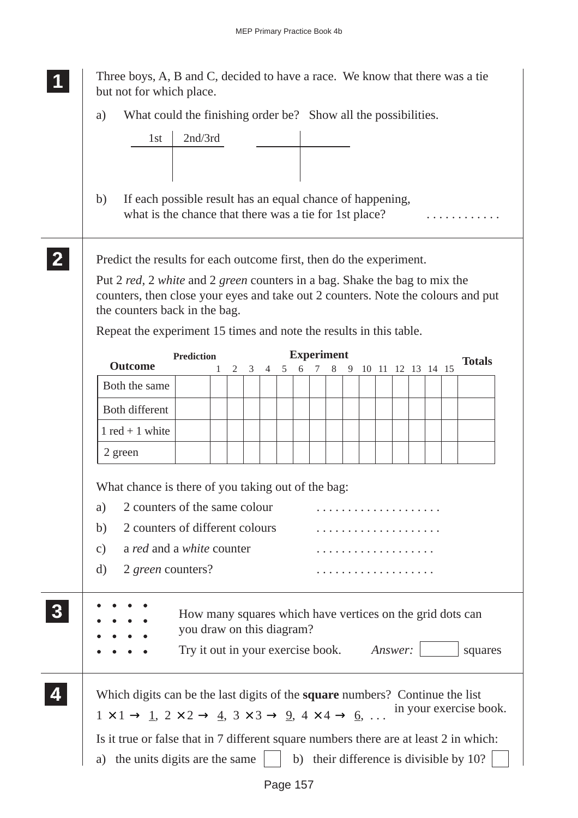|                                                                                       | Three boys, A, B and C, decided to have a race. We know that there was a tie<br>but not for which place.                                                                                                   |                                                                                                                                     |   |   |   |   |   |                             |   |                     |  |  |                        |
|---------------------------------------------------------------------------------------|------------------------------------------------------------------------------------------------------------------------------------------------------------------------------------------------------------|-------------------------------------------------------------------------------------------------------------------------------------|---|---|---|---|---|-----------------------------|---|---------------------|--|--|------------------------|
| a)                                                                                    | What could the finishing order be? Show all the possibilities.                                                                                                                                             |                                                                                                                                     |   |   |   |   |   |                             |   |                     |  |  |                        |
|                                                                                       | 1st                                                                                                                                                                                                        | 2nd/3rd                                                                                                                             |   |   |   |   |   |                             |   |                     |  |  |                        |
|                                                                                       |                                                                                                                                                                                                            |                                                                                                                                     |   |   |   |   |   |                             |   |                     |  |  |                        |
| b)                                                                                    | If each possible result has an equal chance of happening,<br>what is the chance that there was a tie for 1st place?                                                                                        |                                                                                                                                     |   |   |   |   |   |                             |   |                     |  |  |                        |
|                                                                                       | Predict the results for each outcome first, then do the experiment.                                                                                                                                        |                                                                                                                                     |   |   |   |   |   |                             |   |                     |  |  |                        |
|                                                                                       | Put 2 red, 2 white and 2 green counters in a bag. Shake the bag to mix the<br>counters, then close your eyes and take out 2 counters. Note the colours and put<br>the counters back in the bag.            |                                                                                                                                     |   |   |   |   |   |                             |   |                     |  |  |                        |
|                                                                                       | Repeat the experiment 15 times and note the results in this table.                                                                                                                                         |                                                                                                                                     |   |   |   |   |   |                             |   |                     |  |  |                        |
|                                                                                       | <b>Outcome</b>                                                                                                                                                                                             | <b>Prediction</b>                                                                                                                   | 2 | 3 | 4 | 5 | 6 | <b>Experiment</b><br>$\tau$ | 8 | 9 10 11 12 13 14 15 |  |  | <b>Totals</b>          |
|                                                                                       | Both the same                                                                                                                                                                                              |                                                                                                                                     |   |   |   |   |   |                             |   |                     |  |  |                        |
|                                                                                       | Both different                                                                                                                                                                                             |                                                                                                                                     |   |   |   |   |   |                             |   |                     |  |  |                        |
|                                                                                       | $1$ red + 1 white                                                                                                                                                                                          |                                                                                                                                     |   |   |   |   |   |                             |   |                     |  |  |                        |
|                                                                                       | 2 green                                                                                                                                                                                                    |                                                                                                                                     |   |   |   |   |   |                             |   |                     |  |  |                        |
| a)<br>b)<br>$\mathcal{C}$ )<br>d)                                                     | What chance is there of you taking out of the bag:<br>2 counters of the same colour<br>2 counters of different colours<br>a red and a white counter<br>2 green counters?                                   |                                                                                                                                     |   |   |   |   |   |                             |   | .<br>.              |  |  |                        |
|                                                                                       |                                                                                                                                                                                                            | How many squares which have vertices on the grid dots can<br>you draw on this diagram?<br>Try it out in your exercise book. Answer: |   |   |   |   |   |                             |   |                     |  |  | squares                |
| Is it true or false that in 7 different square numbers there are at least 2 in which: | Which digits can be the last digits of the <b>square</b> numbers? Continue the list<br>$1 \times 1 \rightarrow 1$ , $2 \times 2 \rightarrow 4$ , $3 \times 3 \rightarrow 9$ , $4 \times 4 \rightarrow 6$ , |                                                                                                                                     |   |   |   |   |   |                             |   |                     |  |  | in your exercise book. |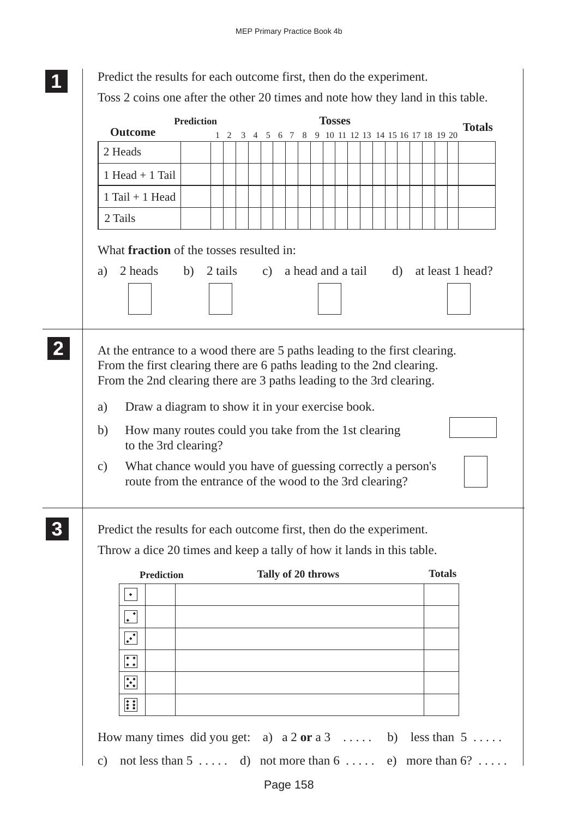| <b>Outcome</b>                                                                                                                                                                                                                                                                             | <b>Prediction</b> |            |  |                    |  | <b>Tosses</b>                      |  |  |               | <b>Totals</b> |
|--------------------------------------------------------------------------------------------------------------------------------------------------------------------------------------------------------------------------------------------------------------------------------------------|-------------------|------------|--|--------------------|--|------------------------------------|--|--|---------------|---------------|
| 2 Heads                                                                                                                                                                                                                                                                                    |                   | $1\quad 2$ |  | 3 4 5 6 7 8        |  | 9 10 11 12 13 14 15 16 17 18 19 20 |  |  |               |               |
| $1$ Head + $1$ Tail                                                                                                                                                                                                                                                                        |                   |            |  |                    |  |                                    |  |  |               |               |
| $1$ Tail + 1 Head                                                                                                                                                                                                                                                                          |                   |            |  |                    |  |                                    |  |  |               |               |
| 2 Tails                                                                                                                                                                                                                                                                                    |                   |            |  |                    |  |                                    |  |  |               |               |
| At the entrance to a wood there are 5 paths leading to the first clearing.<br>From the first clearing there are 6 paths leading to the 2nd clearing.<br>From the 2nd clearing there are 3 paths leading to the 3rd clearing.                                                               |                   |            |  |                    |  |                                    |  |  |               |               |
| Draw a diagram to show it in your exercise book.<br>a)<br>How many routes could you take from the 1st clearing<br>b)<br>to the 3rd clearing?<br>What chance would you have of guessing correctly a person's<br>$\mathcal{C}$ )<br>route from the entrance of the wood to the 3rd clearing? |                   |            |  |                    |  |                                    |  |  |               |               |
| Predict the results for each outcome first, then do the experiment.<br>Throw a dice 20 times and keep a tally of how it lands in this table.                                                                                                                                               |                   |            |  |                    |  |                                    |  |  |               |               |
| <b>Prediction</b>                                                                                                                                                                                                                                                                          |                   |            |  | Tally of 20 throws |  |                                    |  |  | <b>Totals</b> |               |
| $\bullet$                                                                                                                                                                                                                                                                                  |                   |            |  |                    |  |                                    |  |  |               |               |
| $\overline{\bullet}$                                                                                                                                                                                                                                                                       |                   |            |  |                    |  |                                    |  |  |               |               |
| $\overline{\cdot}$                                                                                                                                                                                                                                                                         |                   |            |  |                    |  |                                    |  |  |               |               |
| $\ddot{\cdot}$                                                                                                                                                                                                                                                                             |                   |            |  |                    |  |                                    |  |  |               |               |
| $\ddot{\cdot}$<br><b>BE</b>                                                                                                                                                                                                                                                                |                   |            |  |                    |  |                                    |  |  |               |               |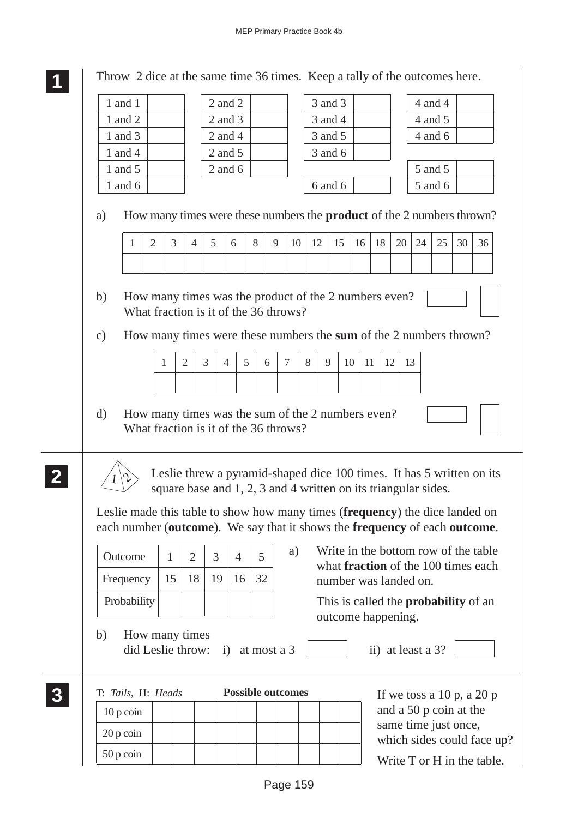Throw 2 dice at the same time 36 times. Keep a tally of the outcomes here.

| 1 and 1                                                                                                                                                               |              |                | $2$ and $2$         |                |                                                                                                                                         |         |    | 3 and 3 |    |    |                                                    |    |    | 4 and 4 |    |    |
|-----------------------------------------------------------------------------------------------------------------------------------------------------------------------|--------------|----------------|---------------------|----------------|-----------------------------------------------------------------------------------------------------------------------------------------|---------|----|---------|----|----|----------------------------------------------------|----|----|---------|----|----|
| 1 and 2                                                                                                                                                               |              |                | $2$ and $3$         |                |                                                                                                                                         |         |    | 3 and 4 |    |    |                                                    |    |    | 4 and 5 |    |    |
| 1 and $3$                                                                                                                                                             |              |                | $2$ and $4$         |                |                                                                                                                                         |         |    | 3 and 5 |    |    |                                                    |    |    | 4 and 6 |    |    |
| 1 and 4                                                                                                                                                               |              |                | $2$ and $5$         |                |                                                                                                                                         |         |    | 3 and 6 |    |    |                                                    |    |    |         |    |    |
| 1 and 5                                                                                                                                                               |              |                | $2$ and $6$         |                |                                                                                                                                         |         |    |         |    |    |                                                    |    |    | 5 and 5 |    |    |
| 1 and $6$                                                                                                                                                             |              |                |                     |                |                                                                                                                                         |         |    | 6 and 6 |    |    |                                                    |    |    | 5 and 6 |    |    |
| How many times were these numbers the <b>product</b> of the 2 numbers thrown?<br>a)                                                                                   |              |                |                     |                |                                                                                                                                         |         |    |         |    |    |                                                    |    |    |         |    |    |
| $\overline{2}$<br>$\mathbf{1}$                                                                                                                                        | 3            | $\overline{4}$ | 5                   | 6              | 8                                                                                                                                       | 9<br>10 | 12 | 15      | 16 | 18 | 20                                                 |    | 24 | 25      | 30 | 36 |
|                                                                                                                                                                       |              |                |                     |                |                                                                                                                                         |         |    |         |    |    |                                                    |    |    |         |    |    |
| How many times were these numbers the sum of the 2 numbers thrown?<br>$\mathbf{c})$                                                                                   |              |                |                     |                |                                                                                                                                         |         |    |         |    |    |                                                    |    |    |         |    |    |
|                                                                                                                                                                       | 1            | $\mathfrak{2}$ | 3<br>$\overline{4}$ | 5              | 6                                                                                                                                       | $\tau$  | 8  | 9       | 10 | 11 | 12                                                 | 13 |    |         |    |    |
|                                                                                                                                                                       |              |                |                     |                |                                                                                                                                         |         |    |         |    |    |                                                    |    |    |         |    |    |
| How many times was the sum of the 2 numbers even?<br>What fraction is it of the 36 throws?                                                                            |              |                |                     |                |                                                                                                                                         |         |    |         |    |    |                                                    |    |    |         |    |    |
|                                                                                                                                                                       |              |                |                     |                |                                                                                                                                         |         |    |         |    |    |                                                    |    |    |         |    |    |
|                                                                                                                                                                       |              |                |                     |                | Leslie threw a pyramid-shaped dice 100 times. It has 5 written on its<br>square base and 1, 2, 3 and 4 written on its triangular sides. |         |    |         |    |    |                                                    |    |    |         |    |    |
| Leslie made this table to show how many times (frequency) the dice landed on<br>each number (outcome). We say that it shows the frequency of each outcome.<br>Outcome | $\mathbf{1}$ | $\overline{2}$ | 3                   | $\overline{4}$ | 5                                                                                                                                       | a)      |    |         |    |    | Write in the bottom row of the table               |    |    |         |    |    |
|                                                                                                                                                                       |              |                |                     |                |                                                                                                                                         |         |    |         |    |    | what <b>fraction</b> of the 100 times each         |    |    |         |    |    |
| Frequency                                                                                                                                                             | 15           | 18             | 19                  | 16             | 32                                                                                                                                      |         |    |         |    |    | number was landed on.                              |    |    |         |    |    |
| Probability                                                                                                                                                           |              |                |                     |                |                                                                                                                                         |         |    |         |    |    | This is called the <b>probability</b> of an        |    |    |         |    |    |
| b)<br>How many times<br>did Leslie throw:                                                                                                                             |              |                |                     |                | i) at most a $3$                                                                                                                        |         |    |         |    |    | outcome happening.<br>ii) at least a 3?            |    |    |         |    |    |
|                                                                                                                                                                       |              |                |                     |                | <b>Possible outcomes</b>                                                                                                                |         |    |         |    |    | If we toss a $10 p$ , a $20 p$                     |    |    |         |    |    |
| T: Tails, H: Heads<br>$10 p \, \text{coin}$                                                                                                                           |              |                |                     |                |                                                                                                                                         |         |    |         |    |    | and a 50 p coin at the                             |    |    |         |    |    |
| 20 p coin                                                                                                                                                             |              |                |                     |                |                                                                                                                                         |         |    |         |    |    | same time just once,<br>which sides could face up? |    |    |         |    |    |

Page 159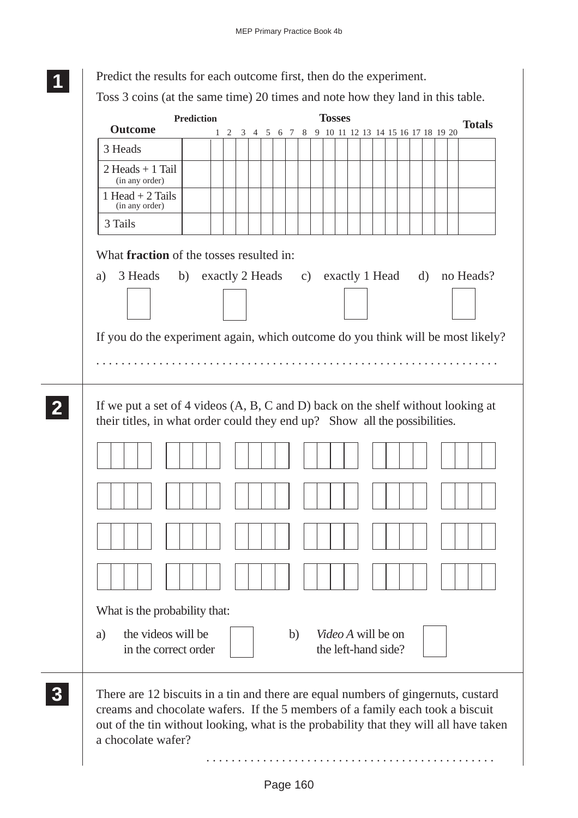|    |                                                                                                                                                                           | <b>Prediction</b> |  |                                                    |  |  |  | <b>Tosses</b> |  |  |  | <b>Totals</b>                                     |
|----|---------------------------------------------------------------------------------------------------------------------------------------------------------------------------|-------------------|--|----------------------------------------------------|--|--|--|---------------|--|--|--|---------------------------------------------------|
|    | <b>Outcome</b>                                                                                                                                                            |                   |  | 1 2 3 4 5 6 7 8 9 10 11 12 13 14 15 16 17 18 19 20 |  |  |  |               |  |  |  |                                                   |
|    | 3 Heads                                                                                                                                                                   |                   |  |                                                    |  |  |  |               |  |  |  |                                                   |
|    | $2$ Heads + 1 Tail<br>(in any order)                                                                                                                                      |                   |  |                                                    |  |  |  |               |  |  |  |                                                   |
|    | 1 Head $+$ 2 Tails<br>(in any order)                                                                                                                                      |                   |  |                                                    |  |  |  |               |  |  |  |                                                   |
|    | 3 Tails                                                                                                                                                                   |                   |  |                                                    |  |  |  |               |  |  |  |                                                   |
| a) | What <b>fraction</b> of the tosses resulted in:<br>3 Heads                                                                                                                |                   |  |                                                    |  |  |  |               |  |  |  | b) exactly 2 Heads c) exactly 1 Head d) no Heads? |
|    | If you do the experiment again, which outcome do you think will be most likely?                                                                                           |                   |  |                                                    |  |  |  |               |  |  |  |                                                   |
|    | If we put a set of 4 videos $(A, B, C \text{ and } D)$ back on the shelf without looking at<br>their titles, in what order could they end up? Show all the possibilities. |                   |  |                                                    |  |  |  |               |  |  |  |                                                   |
|    |                                                                                                                                                                           |                   |  |                                                    |  |  |  |               |  |  |  |                                                   |
|    |                                                                                                                                                                           |                   |  |                                                    |  |  |  |               |  |  |  |                                                   |
|    |                                                                                                                                                                           |                   |  |                                                    |  |  |  |               |  |  |  |                                                   |
|    |                                                                                                                                                                           |                   |  |                                                    |  |  |  |               |  |  |  |                                                   |
|    | What is the probability that:                                                                                                                                             |                   |  |                                                    |  |  |  |               |  |  |  |                                                   |

. . . . . . . . . . . . . . . . . . . . . . . . . . . . . . . . . . . . . . . . . . . . . .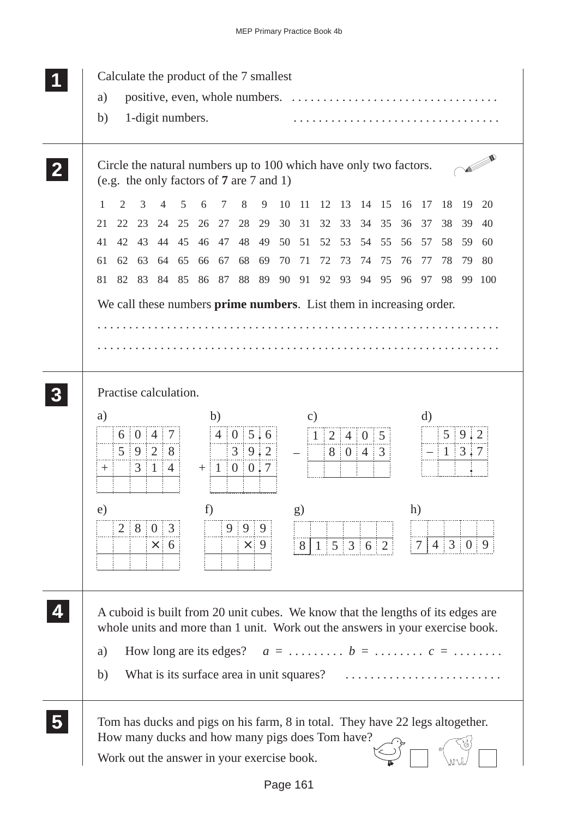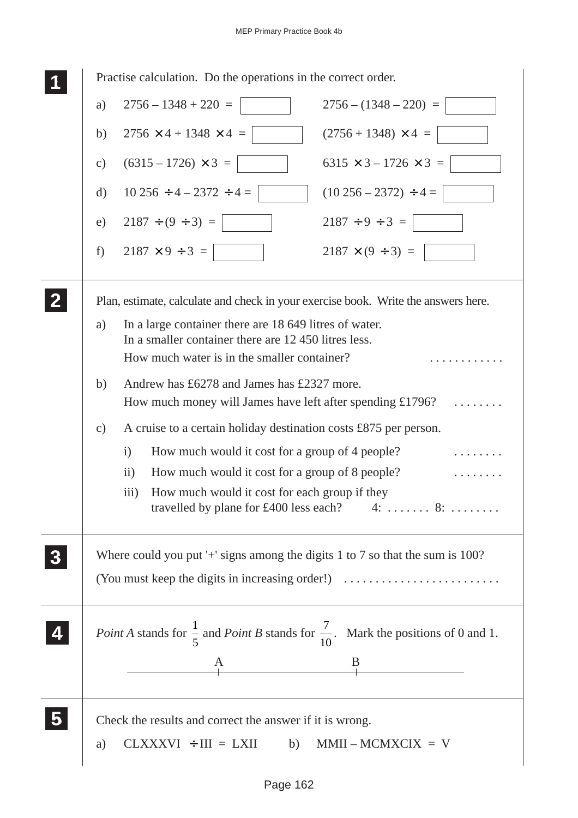| Practise calculation. Do the operations in the correct order. |                                                                                                                                                               |  |  |  |
|---------------------------------------------------------------|---------------------------------------------------------------------------------------------------------------------------------------------------------------|--|--|--|
| a)                                                            | $2756 - 1348 + 220 =$<br>$2756 - (1348 - 220) =$                                                                                                              |  |  |  |
| b)                                                            | $2756 \times 4 + 1348 \times 4 =$<br>$(2756 + 1348) \times 4 =$                                                                                               |  |  |  |
| $\mathbf{c})$                                                 | $(6315 - 1726) \times 3 =$<br>$6315 \times 3 - 1726 \times 3 =$                                                                                               |  |  |  |
| $\rm d)$                                                      | $10\,256 \div 4 - 2372 \div 4 =$<br>$(10\,256 - 2372) \div 4 =$                                                                                               |  |  |  |
| e)                                                            | $2187 \div 9 \div 3 =$<br>$2187 \div (9 \div 3) =$                                                                                                            |  |  |  |
| f)                                                            | $2187 \times 9 \div 3 =$<br>$2187 \times (9 \div 3) =$                                                                                                        |  |  |  |
|                                                               | Plan, estimate, calculate and check in your exercise book. Write the answers here.                                                                            |  |  |  |
| a)                                                            | In a large container there are 18 649 litres of water.<br>In a smaller container there are 12 450 litres less.<br>How much water is in the smaller container? |  |  |  |
| b)                                                            | Andrew has £6278 and James has £2327 more.<br>How much money will James have left after spending $£1796?$                                                     |  |  |  |
| $\mathbf{c})$                                                 | A cruise to a certain holiday destination costs £875 per person.                                                                                              |  |  |  |
|                                                               | How much would it cost for a group of 4 people?<br>$\mathbf{i}$                                                                                               |  |  |  |
|                                                               | How much would it cost for a group of 8 people?<br>$\overline{ii}$ )                                                                                          |  |  |  |
|                                                               | iii)<br>How much would it cost for each group if they<br>travelled by plane for £400 less each? $4: \ldots \ldots \quad 8: \ldots \ldots$                     |  |  |  |
|                                                               | Where could you put '+' signs among the digits 1 to 7 so that the sum is 100?                                                                                 |  |  |  |
|                                                               | (You must keep the digits in increasing order!)                                                                                                               |  |  |  |
|                                                               | <i>Point A</i> stands for $\frac{1}{5}$ and <i>Point B</i> stands for $\frac{7}{10}$ . Mark the positions of 0 and 1.                                         |  |  |  |
|                                                               | $\begin{array}{c c}\nA & B \\ \hline\n\end{array}$                                                                                                            |  |  |  |
| a)                                                            | Check the results and correct the answer if it is wrong.<br>$CLXXXVI + III = LXII$<br>$MMII-MCMXCIX = V$<br>b)                                                |  |  |  |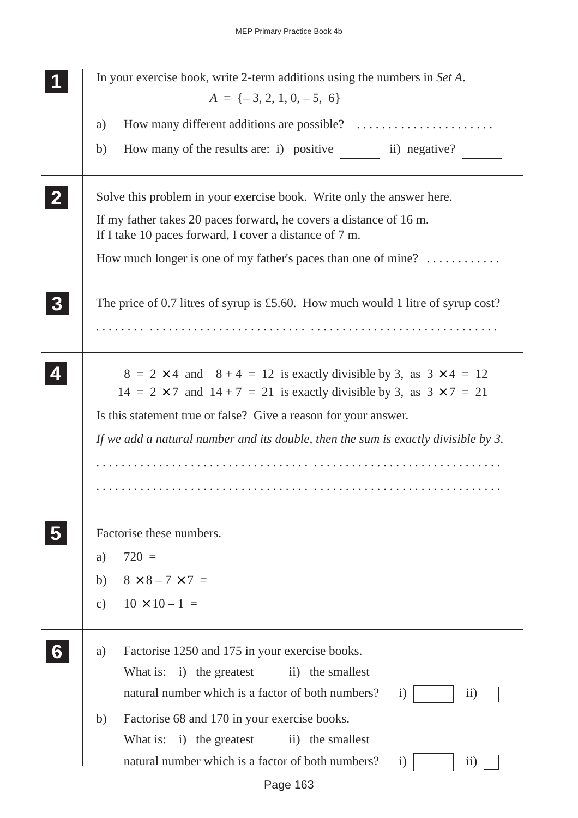|                  | In your exercise book, write 2-term additions using the numbers in Set A.<br>$A = \{-3, 2, 1, 0, -5, 6\}$                                                                |  |  |
|------------------|--------------------------------------------------------------------------------------------------------------------------------------------------------------------------|--|--|
|                  |                                                                                                                                                                          |  |  |
|                  | a)                                                                                                                                                                       |  |  |
|                  | How many of the results are: i) positive $\vert$<br>b)<br>ii) negative?                                                                                                  |  |  |
|                  | Solve this problem in your exercise book. Write only the answer here.                                                                                                    |  |  |
|                  | If my father takes 20 paces forward, he covers a distance of 16 m.<br>If I take 10 paces forward, I cover a distance of 7 m.                                             |  |  |
|                  | How much longer is one of my father's paces than one of mine?                                                                                                            |  |  |
| $\boldsymbol{3}$ | The price of 0.7 litres of syrup is £5.60. How much would 1 litre of syrup cost?                                                                                         |  |  |
|                  |                                                                                                                                                                          |  |  |
|                  | $8 = 2 \times 4$ and $8 + 4 = 12$ is exactly divisible by 3, as $3 \times 4 = 12$<br>$14 = 2 \times 7$ and $14 + 7 = 21$ is exactly divisible by 3, as $3 \times 7 = 21$ |  |  |
|                  | Is this statement true or false? Give a reason for your answer.                                                                                                          |  |  |
|                  | If we add a natural number and its double, then the sum is exactly divisible by 3.                                                                                       |  |  |
|                  |                                                                                                                                                                          |  |  |
|                  |                                                                                                                                                                          |  |  |
|                  | Factorise these numbers.                                                                                                                                                 |  |  |
|                  | $720 =$<br>a)                                                                                                                                                            |  |  |
|                  | $8 \times 8 - 7 \times 7 =$<br>b)                                                                                                                                        |  |  |
|                  | $10 \times 10 - 1 =$<br>$\mathbf{c})$                                                                                                                                    |  |  |
|                  | Factorise 1250 and 175 in your exercise books.<br>a)                                                                                                                     |  |  |
|                  | What is:<br>i) the greatest<br>ii) the smallest                                                                                                                          |  |  |
|                  | natural number which is a factor of both numbers?<br>i)<br>$\rm ii)$                                                                                                     |  |  |
|                  | Factorise 68 and 170 in your exercise books.<br>b)                                                                                                                       |  |  |
|                  | What is: i) the greatest<br>ii) the smallest                                                                                                                             |  |  |
|                  | natural number which is a factor of both numbers?<br>$\mathbf{i}$<br>$\overline{11})$                                                                                    |  |  |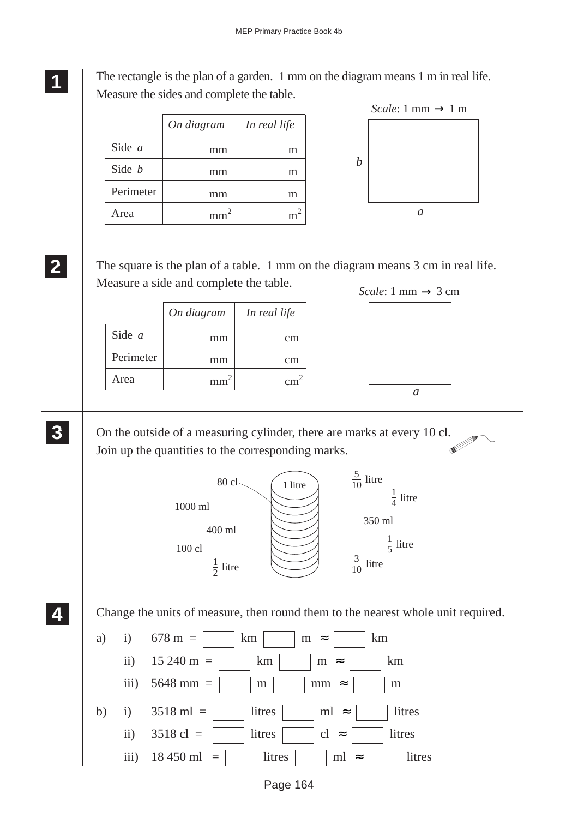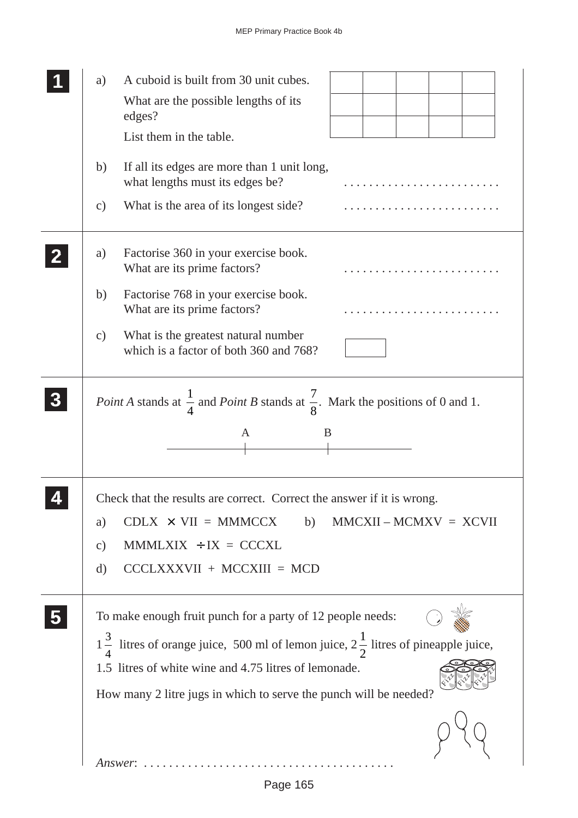| A cuboid is built from 30 unit cubes.<br>a)<br>What are the possible lengths of its<br>edges?<br>List them in the table.                                                                                                                                                                                                              |
|---------------------------------------------------------------------------------------------------------------------------------------------------------------------------------------------------------------------------------------------------------------------------------------------------------------------------------------|
| If all its edges are more than 1 unit long,<br>b)<br>what lengths must its edges be?<br>What is the area of its longest side?<br>$\mathbf{c})$                                                                                                                                                                                        |
| Factorise 360 in your exercise book.<br>a)<br>What are its prime factors?<br>Factorise 768 in your exercise book.<br>b)<br>What are its prime factors?<br>What is the greatest natural number<br>$\mathcal{C}$ )<br>which is a factor of both 360 and 768?                                                                            |
| <i>Point A</i> stands at $\frac{1}{4}$ and <i>Point B</i> stands at $\frac{7}{8}$ . Mark the positions of 0 and 1.<br>A<br>B                                                                                                                                                                                                          |
| Check that the results are correct. Correct the answer if it is wrong.<br>$CDLX \times VII = MMMCCX$<br>$MMCXII - MCMXV = XCVII$<br>b)<br>a)<br>$MMMUXIX + IX = CCXL$<br>$\mathcal{C}$ )<br>$CCCLXXXVII + MCCXIII = MCD$<br>$\mathbf{d}$                                                                                              |
| To make enough fruit punch for a party of 12 people needs:<br>$1\frac{3}{4}$ litres of orange juice, 500 ml of lemon juice, $2\frac{1}{2}$ litres of pineapple juice,<br>1.5 litres of white wine and 4.75 litres of lemonade.<br>How many 2 litre jugs in which to serve the punch will be needed?<br>$Answer: \ldots \ldots \ldots$ |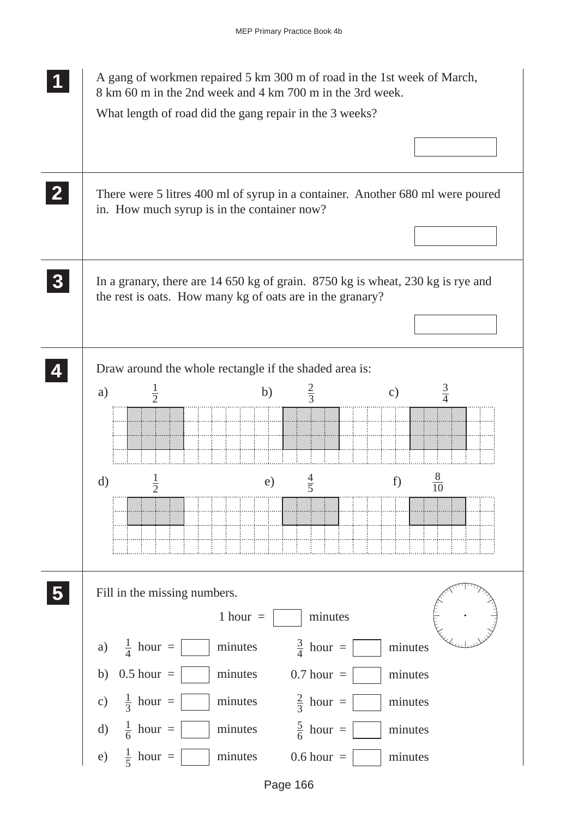|                  | A gang of workmen repaired 5 km 300 m of road in the 1st week of March,<br>8 km 60 m in the 2nd week and 4 km 700 m in the 3rd week.<br>What length of road did the gang repair in the 3 weeks? |  |  |  |  |  |
|------------------|-------------------------------------------------------------------------------------------------------------------------------------------------------------------------------------------------|--|--|--|--|--|
| $\mathbf{2}$     | There were 5 litres 400 ml of syrup in a container. Another 680 ml were poured<br>in. How much syrup is in the container now?                                                                   |  |  |  |  |  |
| $\boldsymbol{3}$ | In a granary, there are 14 650 kg of grain. 8750 kg is wheat, 230 kg is rye and<br>the rest is oats. How many kg of oats are in the granary?                                                    |  |  |  |  |  |
|                  | Draw around the whole rectangle if the shaded area is:                                                                                                                                          |  |  |  |  |  |
|                  | $\frac{2}{3}$<br>$\frac{1}{2}$<br>$rac{3}{4}$<br>b)<br>a)<br>$\mathbf{c})$                                                                                                                      |  |  |  |  |  |
|                  | $\frac{8}{10}$<br>$\frac{4}{5}$<br>$\rm d)$<br>f)<br>$\frac{1}{2}$<br>e)                                                                                                                        |  |  |  |  |  |
|                  | Fill in the missing numbers.<br>1 hour $=$<br>minutes                                                                                                                                           |  |  |  |  |  |
|                  | $\frac{1}{4}$ hour =<br>$\frac{3}{4}$ hour =<br>minutes<br>minutes<br>a)                                                                                                                        |  |  |  |  |  |
|                  | $0.5$ hour $=$<br>minutes<br>$0.7$ hour $=$<br>b)<br>minutes                                                                                                                                    |  |  |  |  |  |
|                  | $\frac{1}{3}$ hour =<br>$rac{2}{3}$ hour =<br>$\mathbf{c})$<br>minutes<br>minutes                                                                                                               |  |  |  |  |  |
|                  | $\frac{1}{6}$ hour =<br>$\frac{5}{6}$ hour =<br>minutes<br>$\mathbf{d}$<br>minutes                                                                                                              |  |  |  |  |  |
|                  | $\frac{1}{5}$ hour =<br>minutes<br>$0.6$ hour $=$<br>e)<br>minutes                                                                                                                              |  |  |  |  |  |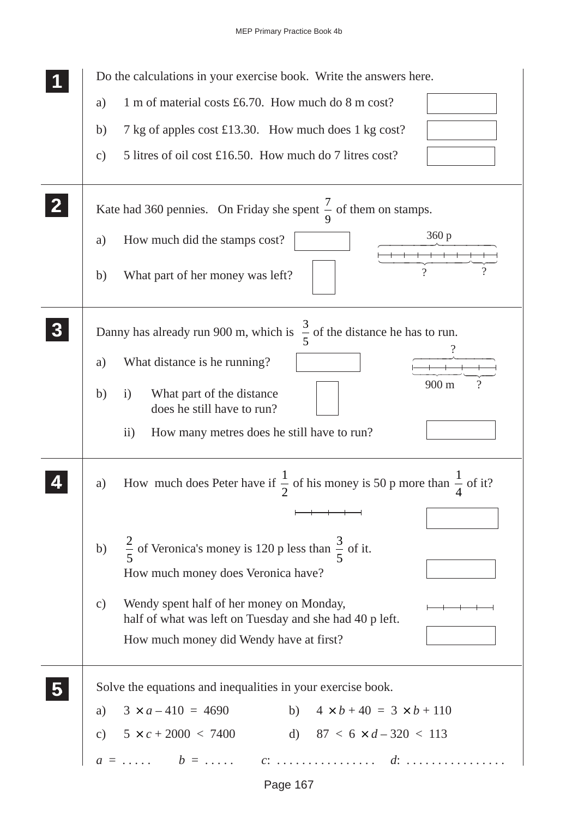MEP Primary Practice Book 4b

| Do the calculations in your exercise book. Write the answers here.                                                     |  |  |  |  |  |
|------------------------------------------------------------------------------------------------------------------------|--|--|--|--|--|
| 1 m of material costs £6.70. How much do 8 m cost?<br>a)                                                               |  |  |  |  |  |
| 7 kg of apples cost £13.30. How much does 1 kg cost?<br>b)                                                             |  |  |  |  |  |
| 5 litres of oil cost £16.50. How much do 7 litres cost?<br>$\mathbf{c})$                                               |  |  |  |  |  |
| Kate had 360 pennies. On Friday she spent $\frac{7}{6}$ of them on stamps.                                             |  |  |  |  |  |
| 360 p<br>How much did the stamps cost?<br>a)                                                                           |  |  |  |  |  |
| What part of her money was left?<br>b)                                                                                 |  |  |  |  |  |
| Danny has already run 900 m, which is $\frac{3}{5}$ of the distance he has to run.                                     |  |  |  |  |  |
| What distance is he running?<br>a)                                                                                     |  |  |  |  |  |
| 900 m<br>b)<br>What part of the distance<br>$\rm i)$<br>does he still have to run?                                     |  |  |  |  |  |
| How many metres does he still have to run?<br>$\rm ii)$                                                                |  |  |  |  |  |
| How much does Peter have if $\frac{1}{2}$ of his money is 50 p more than $\frac{1}{4}$ of it?<br>a)                    |  |  |  |  |  |
|                                                                                                                        |  |  |  |  |  |
| $\frac{2}{5}$ of Veronica's money is 120 p less than $\frac{3}{5}$ of it.<br>b)                                        |  |  |  |  |  |
| How much money does Veronica have?                                                                                     |  |  |  |  |  |
| Wendy spent half of her money on Monday,<br>$\mathcal{C}$ )<br>half of what was left on Tuesday and she had 40 p left. |  |  |  |  |  |
| How much money did Wendy have at first?                                                                                |  |  |  |  |  |
| Solve the equations and inequalities in your exercise book.                                                            |  |  |  |  |  |
| $3 \times a - 410 = 4690$<br>b) $4 \times b + 40 = 3 \times b + 110$<br>a)                                             |  |  |  |  |  |
| c) $5 \times c + 2000 \lt 7400$ d) $87 \lt 6 \times d - 320 \lt 113$                                                   |  |  |  |  |  |
|                                                                                                                        |  |  |  |  |  |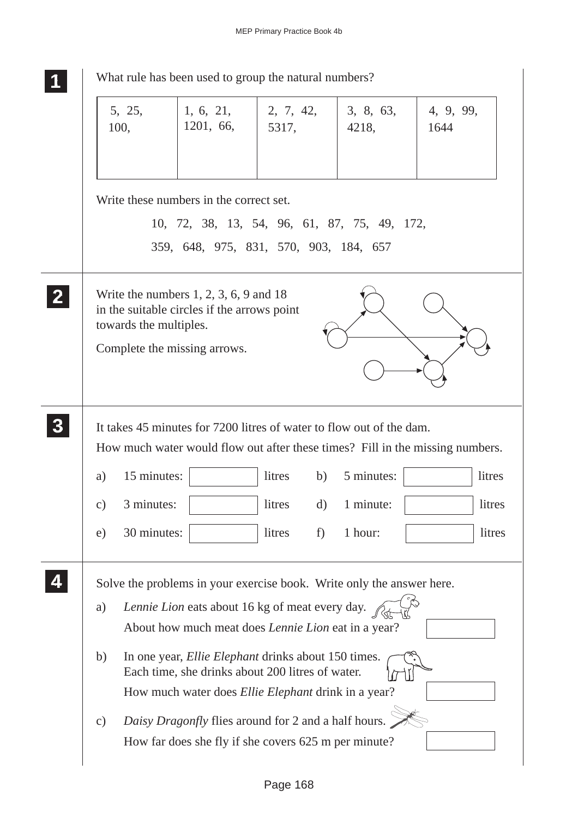| What rule has been used to group the natural numbers?                                                                             |                                                                                                                                                                                                                                                                                                                     |                        |                    |                    |                   |  |
|-----------------------------------------------------------------------------------------------------------------------------------|---------------------------------------------------------------------------------------------------------------------------------------------------------------------------------------------------------------------------------------------------------------------------------------------------------------------|------------------------|--------------------|--------------------|-------------------|--|
|                                                                                                                                   | 5, 25,<br>100,                                                                                                                                                                                                                                                                                                      | 1, 6, 21,<br>1201, 66, | 2, 7, 42,<br>5317, | 3, 8, 63,<br>4218, | 4, 9, 99,<br>1644 |  |
| Write these numbers in the correct set.<br>10, 72, 38, 13, 54, 96, 61, 87, 75, 49, 172,<br>359, 648, 975, 831, 570, 903, 184, 657 |                                                                                                                                                                                                                                                                                                                     |                        |                    |                    |                   |  |
| $\mathbf{2}$                                                                                                                      | Write the numbers $1, 2, 3, 6, 9$ and 18<br>in the suitable circles if the arrows point<br>towards the multiples.<br>Complete the missing arrows.                                                                                                                                                                   |                        |                    |                    |                   |  |
| $3\phantom{a}$                                                                                                                    | It takes 45 minutes for 7200 litres of water to flow out of the dam.<br>How much water would flow out after these times? Fill in the missing numbers.                                                                                                                                                               |                        |                    |                    |                   |  |
|                                                                                                                                   | 15 minutes:<br>a)                                                                                                                                                                                                                                                                                                   |                        | litres<br>b)       | 5 minutes:         | litres            |  |
|                                                                                                                                   | 3 minutes:<br>$\mathbf{c})$                                                                                                                                                                                                                                                                                         |                        | litres<br>$\rm d)$ | 1 minute:          | litres            |  |
|                                                                                                                                   | 30 minutes:<br>e)                                                                                                                                                                                                                                                                                                   |                        | litres<br>f)       | 1 hour:            | litres            |  |
|                                                                                                                                   | Solve the problems in your exercise book. Write only the answer here.<br>Lennie Lion eats about 16 kg of meat every day.<br>a)<br>About how much meat does <i>Lennie Lion</i> eat in a year?                                                                                                                        |                        |                    |                    |                   |  |
|                                                                                                                                   | In one year, <i>Ellie Elephant</i> drinks about 150 times.<br>b)<br>Each time, she drinks about 200 litres of water.<br>How much water does <i>Ellie Elephant</i> drink in a year?<br>Daisy Dragonfly flies around for 2 and a half hours.<br>$\mathbf{c})$<br>How far does she fly if she covers 625 m per minute? |                        |                    |                    |                   |  |
|                                                                                                                                   |                                                                                                                                                                                                                                                                                                                     |                        |                    |                    |                   |  |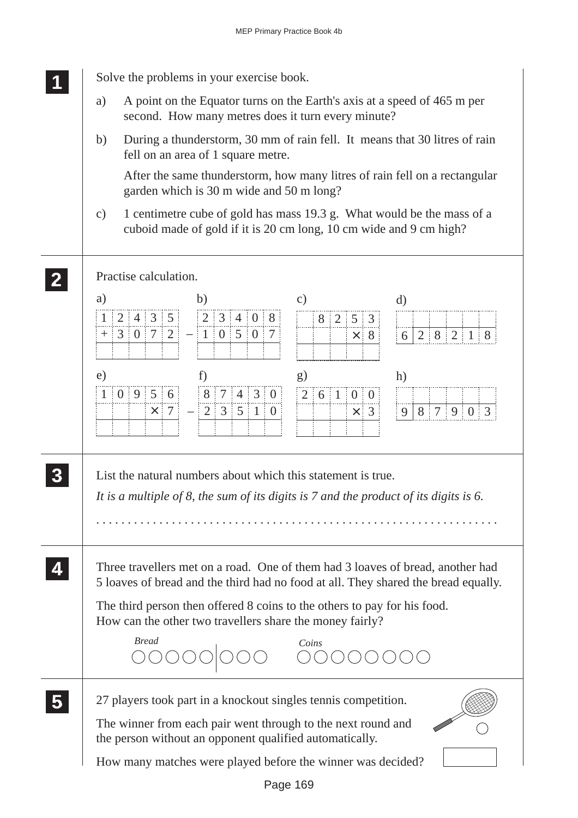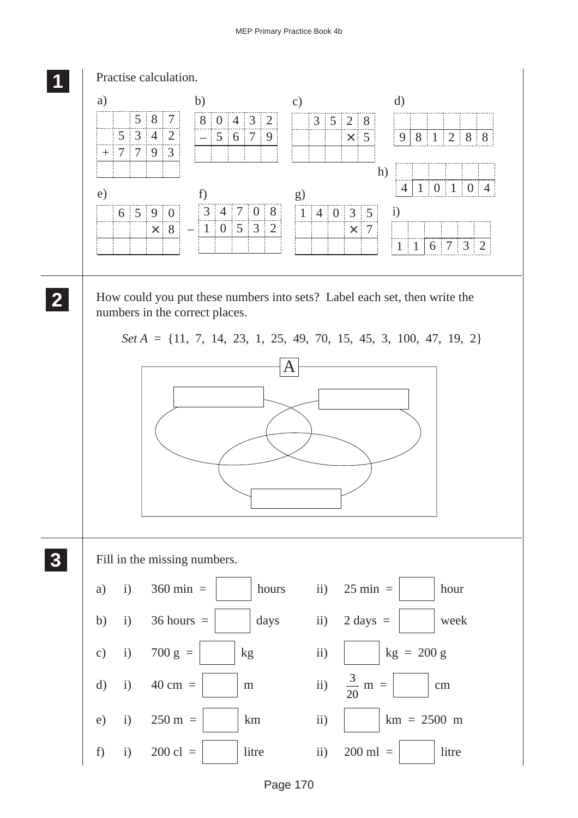#### MEP Primary Practice Book 4b

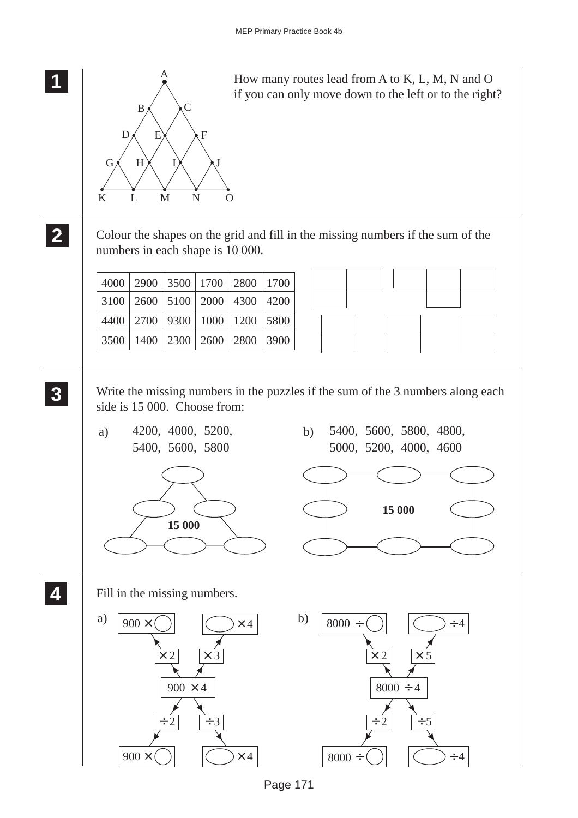

Page 171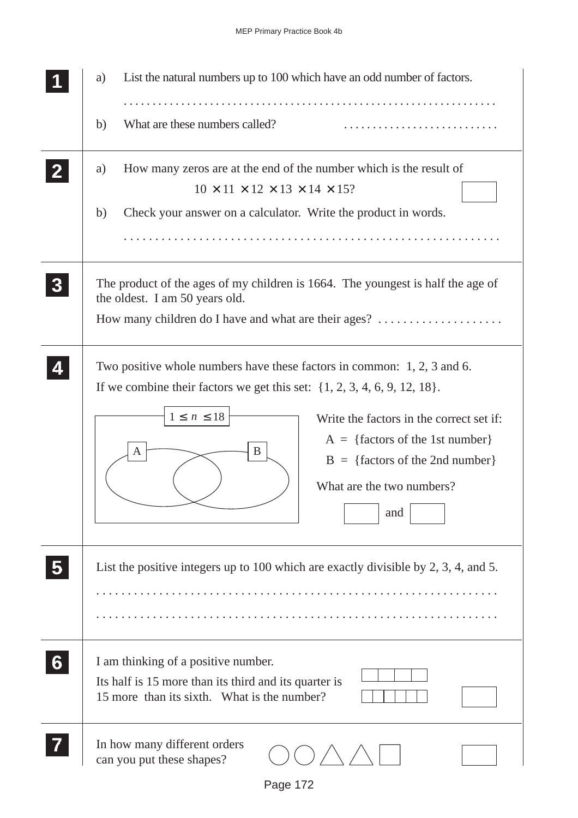|                | List the natural numbers up to 100 which have an odd number of factors.<br>a)                                                                                                                                                                                                                                                                           |  |  |  |  |
|----------------|---------------------------------------------------------------------------------------------------------------------------------------------------------------------------------------------------------------------------------------------------------------------------------------------------------------------------------------------------------|--|--|--|--|
|                | What are these numbers called?<br>b)                                                                                                                                                                                                                                                                                                                    |  |  |  |  |
|                | How many zeros are at the end of the number which is the result of<br>a)<br>$10 \times 11 \times 12 \times 13 \times 14 \times 15$ ?                                                                                                                                                                                                                    |  |  |  |  |
|                | Check your answer on a calculator. Write the product in words.<br>b)                                                                                                                                                                                                                                                                                    |  |  |  |  |
| 3 <sup>1</sup> | The product of the ages of my children is 1664. The youngest is half the age of<br>the oldest. I am 50 years old.<br>How many children do I have and what are their ages?                                                                                                                                                                               |  |  |  |  |
|                | Two positive whole numbers have these factors in common: 1, 2, 3 and 6.<br>If we combine their factors we get this set: $\{1, 2, 3, 4, 6, 9, 12, 18\}$ .<br>$1\leq\,n\,\leq 18$<br>Write the factors in the correct set if:<br>$A = \{factors of the 1st number\}$<br>B<br>A<br>$B = \{factors of the 2nd number\}$<br>What are the two numbers?<br>and |  |  |  |  |
|                | List the positive integers up to 100 which are exactly divisible by 2, 3, 4, and 5.                                                                                                                                                                                                                                                                     |  |  |  |  |
|                | I am thinking of a positive number.<br>Its half is 15 more than its third and its quarter is<br>15 more than its sixth. What is the number?                                                                                                                                                                                                             |  |  |  |  |
|                | In how many different orders<br>can you put these shapes?                                                                                                                                                                                                                                                                                               |  |  |  |  |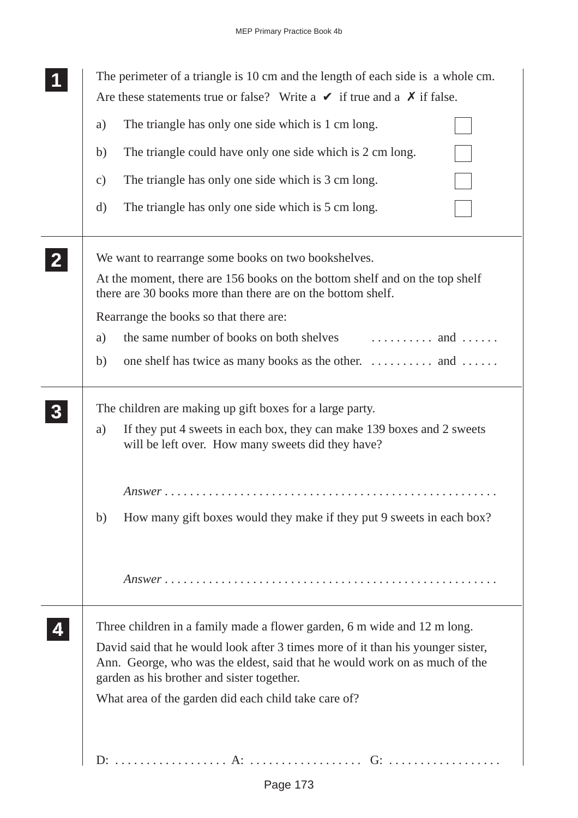| The perimeter of a triangle is 10 cm and the length of each side is a whole cm.<br>Are these statements true or false? Write a $\vee$ if true and a $\chi$ if false.                                        |  |  |  |  |
|-------------------------------------------------------------------------------------------------------------------------------------------------------------------------------------------------------------|--|--|--|--|
| The triangle has only one side which is 1 cm long.<br>a)                                                                                                                                                    |  |  |  |  |
| The triangle could have only one side which is 2 cm long.<br>b)                                                                                                                                             |  |  |  |  |
| The triangle has only one side which is 3 cm long.<br>$\mathbf{c})$                                                                                                                                         |  |  |  |  |
| The triangle has only one side which is 5 cm long.<br>$\rm d)$                                                                                                                                              |  |  |  |  |
| We want to rearrange some books on two bookshelves.                                                                                                                                                         |  |  |  |  |
| At the moment, there are 156 books on the bottom shelf and on the top shelf<br>there are 30 books more than there are on the bottom shelf.                                                                  |  |  |  |  |
| Rearrange the books so that there are:                                                                                                                                                                      |  |  |  |  |
| a)                                                                                                                                                                                                          |  |  |  |  |
| one shelf has twice as many books as the other.  and<br>b)                                                                                                                                                  |  |  |  |  |
| The children are making up gift boxes for a large party.                                                                                                                                                    |  |  |  |  |
| If they put 4 sweets in each box, they can make 139 boxes and 2 sweets<br>a)<br>will be left over. How many sweets did they have?                                                                           |  |  |  |  |
|                                                                                                                                                                                                             |  |  |  |  |
| How many gift boxes would they make if they put 9 sweets in each box?<br>b)                                                                                                                                 |  |  |  |  |
|                                                                                                                                                                                                             |  |  |  |  |
| Three children in a family made a flower garden, 6 m wide and 12 m long.                                                                                                                                    |  |  |  |  |
| David said that he would look after 3 times more of it than his younger sister,<br>Ann. George, who was the eldest, said that he would work on as much of the<br>garden as his brother and sister together. |  |  |  |  |
| What area of the garden did each child take care of?                                                                                                                                                        |  |  |  |  |
|                                                                                                                                                                                                             |  |  |  |  |
|                                                                                                                                                                                                             |  |  |  |  |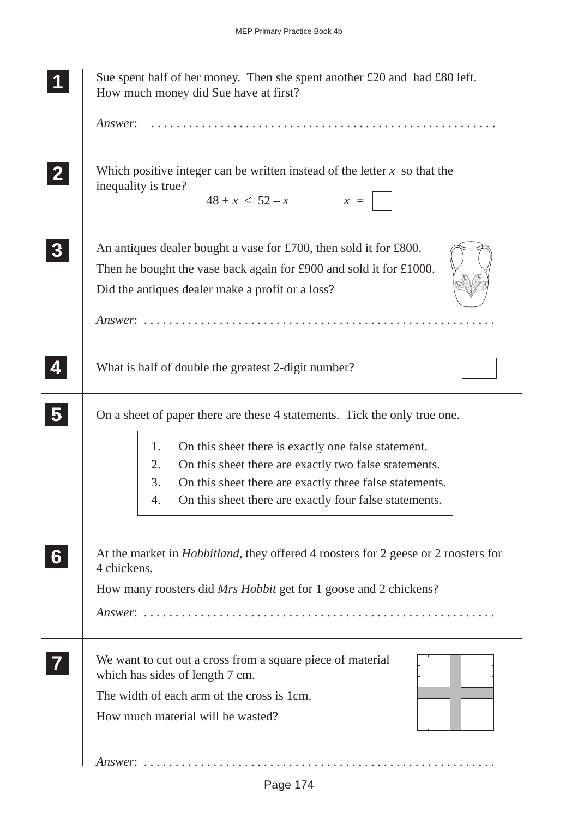|                | Sue spent half of her money. Then she spent another $£20$ and had $£80$ left.<br>How much money did Sue have at first?                                                                                                                                                                                                                 |  |  |  |  |
|----------------|----------------------------------------------------------------------------------------------------------------------------------------------------------------------------------------------------------------------------------------------------------------------------------------------------------------------------------------|--|--|--|--|
|                | Answer:                                                                                                                                                                                                                                                                                                                                |  |  |  |  |
| 2 <sub>1</sub> | Which positive integer can be written instead of the letter $x$ so that the<br>inequality is true?<br>$48 + x < 52 - x$ $x =$                                                                                                                                                                                                          |  |  |  |  |
| 3 <sub>l</sub> | An antiques dealer bought a vase for £700, then sold it for £800.<br>Then he bought the vase back again for £900 and sold it for £1000.<br>Did the antiques dealer make a profit or a loss?                                                                                                                                            |  |  |  |  |
| 4              | What is half of double the greatest 2-digit number?                                                                                                                                                                                                                                                                                    |  |  |  |  |
| 5 <sub>5</sub> | On a sheet of paper there are these 4 statements. Tick the only true one.<br>On this sheet there is exactly one false statement.<br>1.<br>2.<br>On this sheet there are exactly two false statements.<br>On this sheet there are exactly three false statements.<br>3.<br>On this sheet there are exactly four false statements.<br>4. |  |  |  |  |
| 6 <sup>1</sup> | At the market in <i>Hobbitland</i> , they offered 4 roosters for 2 geese or 2 roosters for<br>4 chickens.<br>How many roosters did Mrs Hobbit get for 1 goose and 2 chickens?                                                                                                                                                          |  |  |  |  |
|                | We want to cut out a cross from a square piece of material<br>which has sides of length 7 cm.<br>The width of each arm of the cross is 1cm.<br>How much material will be wasted?                                                                                                                                                       |  |  |  |  |
|                | $Answer: \ldots \ldots \ldots \ldots \ldots \ldots \ldots \ldots \ldots \ldots \ldots \ldots \ldots$                                                                                                                                                                                                                                   |  |  |  |  |